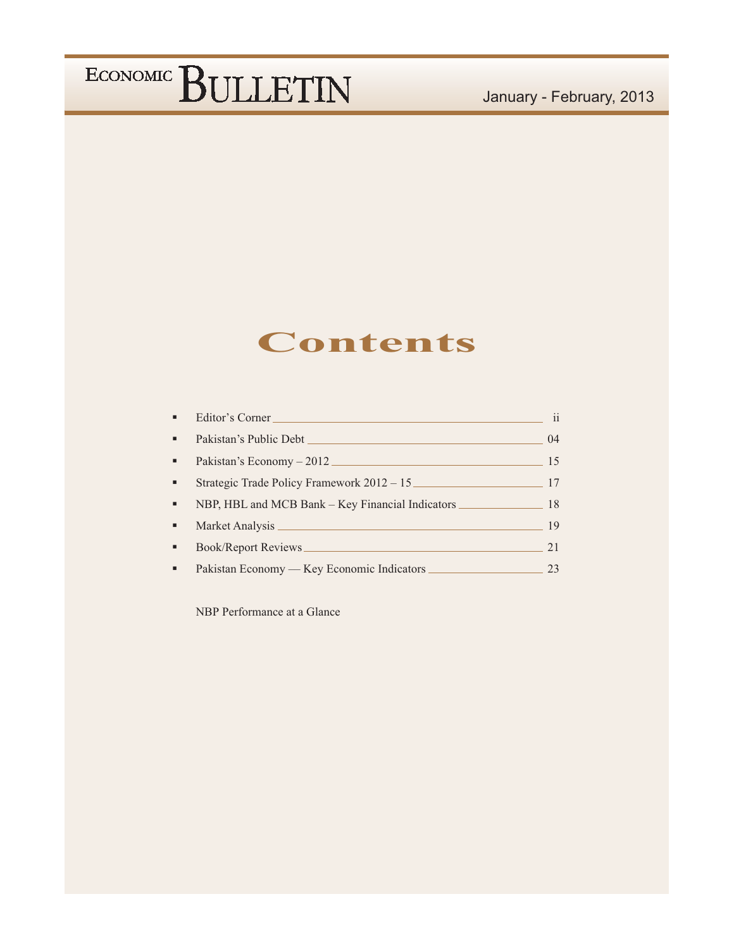### **Contents**

|                | Editor's Corner                                  | 11   |
|----------------|--------------------------------------------------|------|
| ٠              |                                                  | (1)4 |
| ٠              | Pakistan's Economy – 2012                        | 15   |
| ٠              | Strategic Trade Policy Framework 2012 - 15       | 17   |
| ٠              | NBP, HBL and MCB Bank – Key Financial Indicators | 18   |
| ٠              |                                                  | 19   |
| ٠              | Book/Report Reviews                              | 21   |
| $\blacksquare$ | Pakistan Economy — Key Economic Indicators       | 23.  |

NBP Performance at a Glance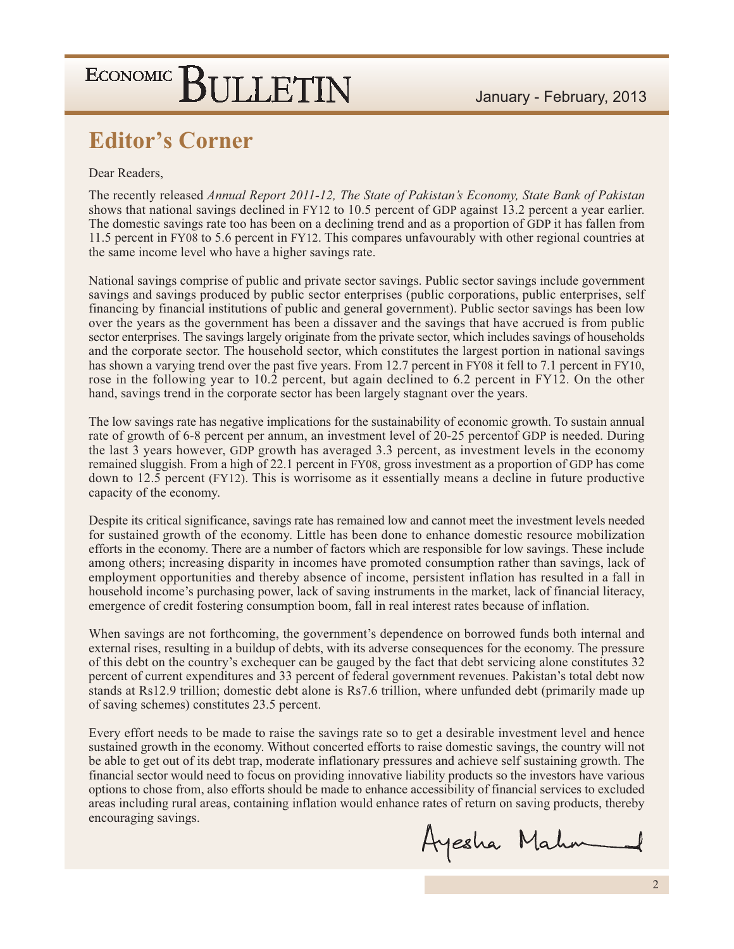### **Editor's Corner**

#### Dear Readers.

The recently released Annual Report 2011-12, The State of Pakistan's Economy, State Bank of Pakistan shows that national savings declined in FY12 to 10.5 percent of GDP against 13.2 percent a year earlier. The domestic savings rate too has been on a declining trend and as a proportion of GDP it has fallen from 11.5 percent in FY08 to 5.6 percent in FY12. This compares unfavourably with other regional countries at the same income level who have a higher savings rate.

National savings comprise of public and private sector savings. Public sector savings include government savings and savings produced by public sector enterprises (public corporations, public enterprises, self financing by financial institutions of public and general government). Public sector savings has been low over the years as the government has been a dissaver and the savings that have accrued is from public sector enterprises. The savings largely originate from the private sector, which includes savings of households and the corporate sector. The household sector, which constitutes the largest portion in national savings has shown a varying trend over the past five years. From 12.7 percent in FY08 it fell to 7.1 percent in FY10, rose in the following year to 10.2 percent, but again declined to 6.2 percent in FY12. On the other hand, savings trend in the corporate sector has been largely stagnant over the years.

The low savings rate has negative implications for the sustainability of economic growth. To sustain annual rate of growth of 6-8 percent per annum, an investment level of 20-25 percent GDP is needed. During the last 3 years however, GDP growth has averaged 3.3 percent, as investment levels in the economy remained sluggish. From a high of 22.1 percent in FY08, gross investment as a proportion of GDP has come down to 12.5 percent (FY12). This is worrisome as it essentially means a decline in future productive capacity of the economy.

Despite its critical significance, savings rate has remained low and cannot meet the investment levels needed for sustained growth of the economy. Little has been done to enhance domestic resource mobilization efforts in the economy. There are a number of factors which are responsible for low savings. These include among others; increasing disparity in incomes have promoted consumption rather than savings, lack of employment opportunities and thereby absence of income, persistent inflation has resulted in a fall in household income's purchasing power, lack of saving instruments in the market, lack of financial literacy, emergence of credit fostering consumption boom, fall in real interest rates because of inflation.

When savings are not forthcoming, the government's dependence on borrowed funds both internal and external rises, resulting in a buildup of debts, with its adverse consequences for the economy. The pressure of this debt on the country's exchequer can be gauged by the fact that debt servicing alone constitutes 32 percent of current expenditures and 33 percent of federal government revenues. Pakistan's total debt now stands at Rs12.9 trillion; domestic debt alone is Rs7.6 trillion, where unfunded debt (primarily made up of saving schemes) constitutes 23.5 percent.

Every effort needs to be made to raise the savings rate so to get a desirable investment level and hence sustained growth in the economy. Without concerted efforts to raise domestic savings, the country will not be able to get out of its debt trap, moderate inflationary pressures and achieve self sustaining growth. The financial sector would need to focus on providing innovative liability products so the investors have various options to chose from, also efforts should be made to enhance accessibility of financial services to excluded areas including rural areas, containing inflation would enhance rates of return on saving products, thereby encouraging savings.

Ayesha Mahm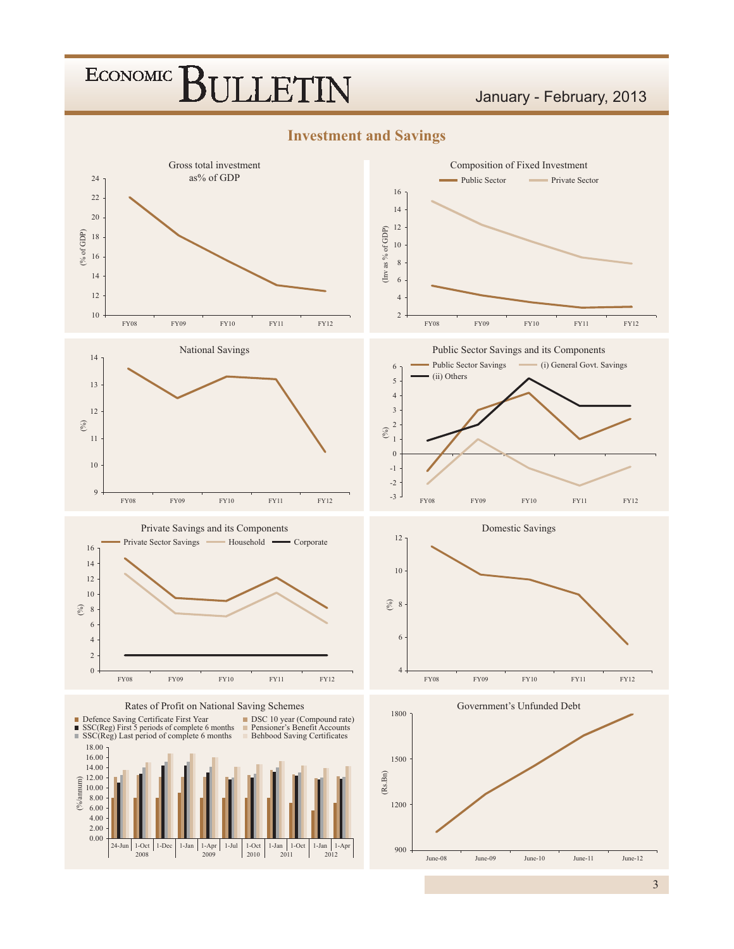#### January - February, 2013

**Investment and Savings** 

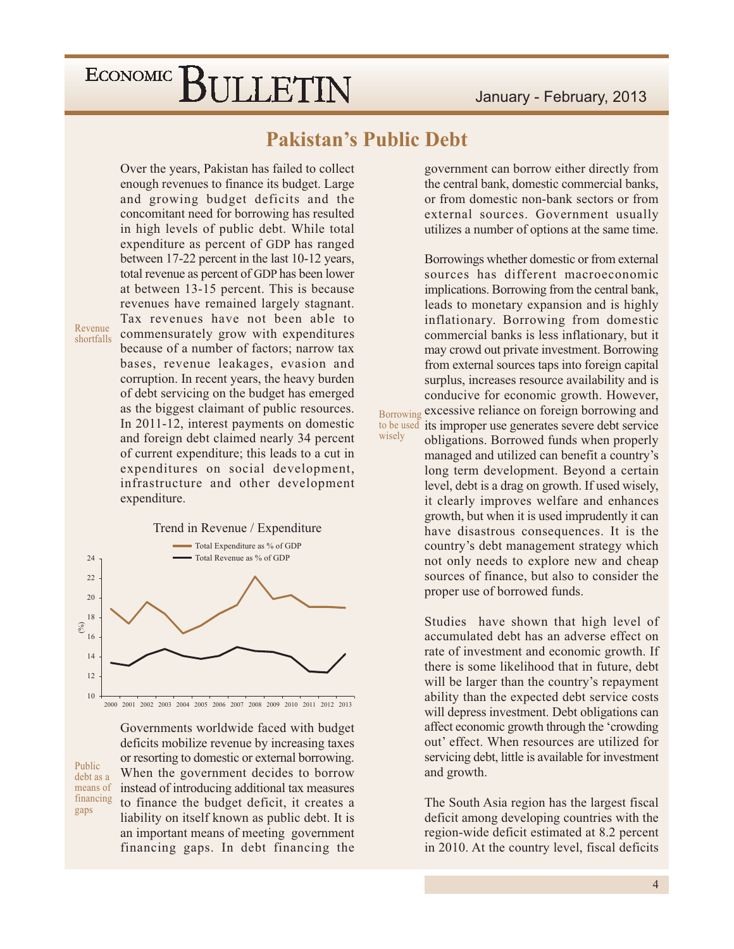### **Pakistan's Public Debt**

wisely

Over the years, Pakistan has failed to collect enough revenues to finance its budget. Large and growing budget deficits and the concomitant need for borrowing has resulted in high levels of public debt. While total expenditure as percent of GDP has ranged between 17-22 percent in the last 10-12 years, total revenue as percent of GDP has been lower at between 13-15 percent. This is because revenues have remained largely stagnant. Tax revenues have not been able to commensurately grow with expenditures because of a number of factors; narrow tax bases, revenue leakages, evasion and corruption. In recent years, the heavy burden of debt servicing on the budget has emerged as the biggest claimant of public resources. In 2011-12, interest payments on domestic and foreign debt claimed nearly 34 percent of current expenditure; this leads to a cut in expenditures on social development, infrastructure and other development expenditure.

Revenue shortfalls

> Trend in Revenue / Expenditure Total Expenditure as % of GDP Total Revenue as % of GDP  $24$  $22$ 20 18  $\binom{0}{0}$ 16  $14$  $12$  $10$ 2000 2001 2002 2003 2004 2005 2006 2007 2008 2009 2010 2011 2012 2013

Public debt as a means of financing gaps

Governments worldwide faced with budget deficits mobilize revenue by increasing taxes or resorting to domestic or external borrowing. When the government decides to borrow instead of introducing additional tax measures to finance the budget deficit, it creates a liability on itself known as public debt. It is an important means of meeting government financing gaps. In debt financing the government can borrow either directly from the central bank, domestic commercial banks, or from domestic non-bank sectors or from external sources. Government usually utilizes a number of options at the same time.

Borrowings whether domestic or from external sources has different macroeconomic implications. Borrowing from the central bank, leads to monetary expansion and is highly inflationary. Borrowing from domestic commercial banks is less inflationary, but it may crowd out private investment. Borrowing from external sources taps into foreign capital surplus, increases resource availability and is conducive for economic growth. However, excessive reliance on foreign borrowing and Borrowing to be used its improper use generates severe debt service obligations. Borrowed funds when properly managed and utilized can benefit a country's long term development. Beyond a certain level, debt is a drag on growth. If used wisely, it clearly improves welfare and enhances growth, but when it is used imprudently it can have disastrous consequences. It is the country's debt management strategy which not only needs to explore new and cheap sources of finance, but also to consider the proper use of borrowed funds.

> Studies have shown that high level of accumulated debt has an adverse effect on rate of investment and economic growth. If there is some likelihood that in future, debt will be larger than the country's repayment ability than the expected debt service costs will depress investment. Debt obligations can affect economic growth through the 'crowding' out' effect. When resources are utilized for servicing debt, little is available for investment and growth.

> The South Asia region has the largest fiscal deficit among developing countries with the region-wide deficit estimated at 8.2 percent in 2010. At the country level, fiscal deficits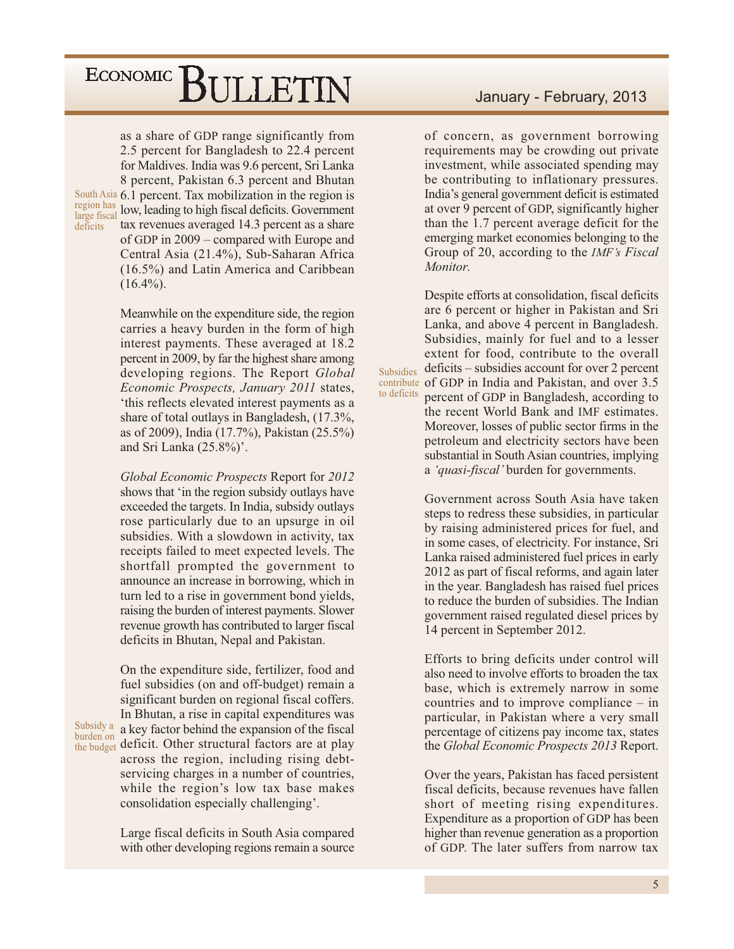as a share of GDP range significantly from 2.5 percent for Bangladesh to 22.4 percent for Maldives. India was 9.6 percent, Sri Lanka 8 percent, Pakistan 6.3 percent and Bhutan South Asia 6.1 percent. Tax mobilization in the region is region has low, leading to high fiscal deficits. Government large fiscal tax revenues averaged 14.3 percent as a share of GDP in  $2009$  – compared with Europe and Central Asia (21.4%), Sub-Saharan Africa (16.5%) and Latin America and Caribbean  $(16.4\%).$ 

deficits

burden on

Meanwhile on the expenditure side, the region carries a heavy burden in the form of high interest payments. These averaged at 18.2 percent in 2009, by far the highest share among developing regions. The Report Global Economic Prospects, January 2011 states, 'this reflects elevated interest payments as a share of total outlays in Bangladesh, (17.3%, as of 2009), India (17.7%), Pakistan (25.5%) and Sri Lanka (25.8%)'.

Global Economic Prospects Report for 2012 shows that 'in the region subsidy outlays have exceeded the targets. In India, subsidy outlays rose particularly due to an upsurge in oil subsidies. With a slowdown in activity, tax receipts failed to meet expected levels. The shortfall prompted the government to announce an increase in borrowing, which in turn led to a rise in government bond yields, raising the burden of interest payments. Slower revenue growth has contributed to larger fiscal deficits in Bhutan, Nepal and Pakistan.

On the expenditure side, fertilizer, food and fuel subsidies (on and off-budget) remain a significant burden on regional fiscal coffers. In Bhutan, a rise in capital expenditures was Subsidy a a key factor behind the expansion of the fiscal the budget deficit. Other structural factors are at play across the region, including rising debtservicing charges in a number of countries, while the region's low tax base makes consolidation especially challenging'.

> Large fiscal deficits in South Asia compared with other developing regions remain a source

#### January - February, 2013

of concern, as government borrowing requirements may be crowding out private investment, while associated spending may be contributing to inflationary pressures. India's general government deficit is estimated at over 9 percent of GDP, significantly higher than the 1.7 percent average deficit for the emerging market economies belonging to the Group of 20, according to the *IMF's Fiscal Monitor* 

Despite efforts at consolidation, fiscal deficits are 6 percent or higher in Pakistan and Sri Lanka, and above 4 percent in Bangladesh. Subsidies, mainly for fuel and to a lesser extent for food, contribute to the overall  $deficits - subsidies account for over 2 percent$ Subsidies contribute of GDP in India and Pakistan, and over 3.5 to deficits percent of GDP in Bangladesh, according to the recent World Bank and IMF estimates. Moreover, losses of public sector firms in the petroleum and electricity sectors have been substantial in South Asian countries, implying a 'quasi-fiscal' burden for governments.

> Government across South Asia have taken steps to redress these subsidies, in particular by raising administered prices for fuel, and in some cases, of electricity. For instance, Sri Lanka raised administered fuel prices in early 2012 as part of fiscal reforms, and again later in the year. Bangladesh has raised fuel prices to reduce the burden of subsidies. The Indian government raised regulated diesel prices by 14 percent in September 2012.

> Efforts to bring deficits under control will also need to involve efforts to broaden the tax base, which is extremely narrow in some countries and to improve compliance  $-$  in particular, in Pakistan where a very small percentage of citizens pay income tax, states the *Global Economic Prospects* 2013 Report.

> Over the years, Pakistan has faced persistent fiscal deficits, because revenues have fallen short of meeting rising expenditures. Expenditure as a proportion of GDP has been higher than revenue generation as a proportion of GDP. The later suffers from narrow tax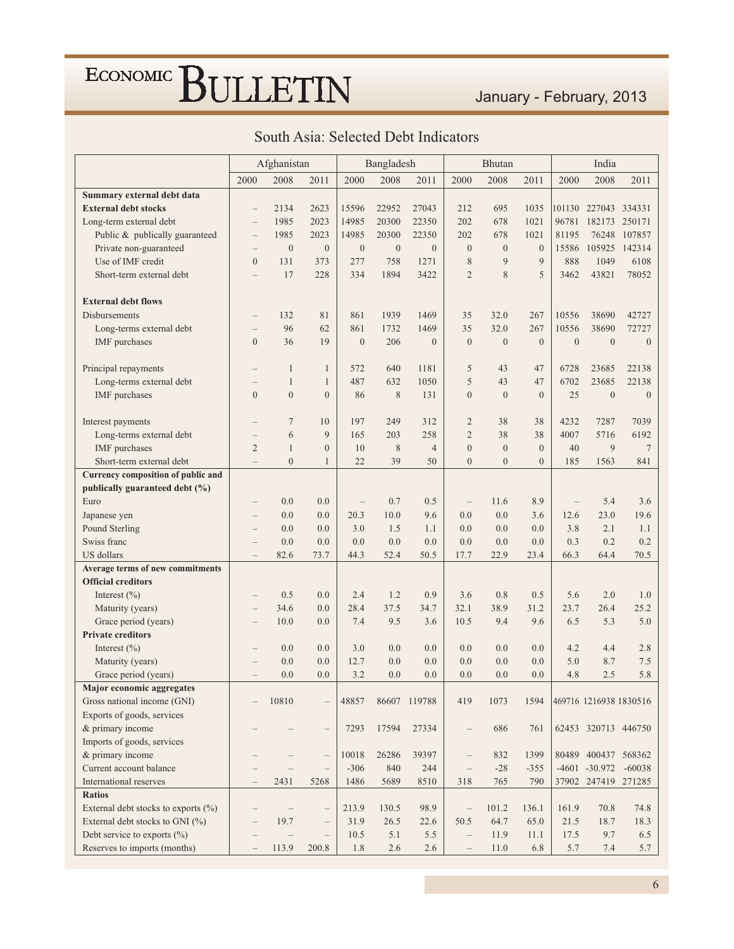#### January - February, 2013

|                                         |                          | Afghanistan              |                                   |                  | Bangladesh   |                |                          | Bhutan           |              |                  | India                  |                  |
|-----------------------------------------|--------------------------|--------------------------|-----------------------------------|------------------|--------------|----------------|--------------------------|------------------|--------------|------------------|------------------------|------------------|
|                                         | 2000                     | 2008                     | 2011                              | 2000             | 2008         | 2011           | 2000                     | 2008             | 2011         | 2000             | 2008                   | 2011             |
| Summary external debt data              |                          |                          |                                   |                  |              |                |                          |                  |              |                  |                        |                  |
| <b>External debt stocks</b>             |                          | 2134                     | 2623                              | 15596            | 22952        | 27043          | 212                      | 695              | 1035         |                  | 101130 227043 334331   |                  |
| Long-term external debt                 | $\overline{\phantom{0}}$ | 1985                     | 2023                              | 14985            | 20300        | 22350          | 202                      | 678              | 1021         | 96781            | 182173                 | 250171           |
| Public & publically guaranteed          | $\overline{\phantom{0}}$ | 1985                     | 2023                              | 14985            | 20300        | 22350          | 202                      | 678              | 1021         | 81195            | 76248                  | 107857           |
| Private non-guaranteed                  | $\overline{\phantom{0}}$ | $\boldsymbol{0}$         | $\overline{0}$                    | $\boldsymbol{0}$ | $\mathbf{0}$ | $\mathbf{0}$   | $\boldsymbol{0}$         | $\boldsymbol{0}$ | $\mathbf{0}$ | 15586            | 105925                 | 142314           |
| Use of IMF credit                       | $\theta$                 | 131                      | 373                               | 277              | 758          | 1271           | 8                        | 9                | 9            | 888              | 1049                   | 6108             |
| Short-term external debt                | $\overline{\phantom{0}}$ | 17                       | 228                               | 334              | 1894         | 3422           | $\overline{2}$           | 8                | 5            | 3462             | 43821                  | 78052            |
|                                         |                          |                          |                                   |                  |              |                |                          |                  |              |                  |                        |                  |
| <b>External debt flows</b>              |                          |                          |                                   |                  |              |                |                          |                  |              |                  |                        |                  |
| Disbursements                           |                          | 132                      | 81                                | 861              | 1939         | 1469           | 35                       | 32.0             | 267          | 10556            | 38690                  | 42727            |
| Long-terms external debt                |                          | 96                       | 62                                | 861              | 1732         | 1469           | 35                       | 32.0             | 267          | 10556            | 38690                  | 72727            |
| IMF purchases                           | $\theta$                 | 36                       | 19                                | $\boldsymbol{0}$ | 206          | $\Omega$       | $\boldsymbol{0}$         | $\boldsymbol{0}$ | $\theta$     | $\boldsymbol{0}$ | $\mathbf{0}$           | $\boldsymbol{0}$ |
|                                         |                          |                          |                                   |                  |              |                |                          |                  |              |                  |                        |                  |
| Principal repayments                    |                          | $\mathbf{1}$             | $\mathbf{1}$                      | 572              | 640          | 1181           | 5                        | 43               | 47           | 6728             | 23685                  | 22138            |
| Long-terms external debt                |                          | $\mathbf{1}$             | $\mathbf{1}$                      | 487              | 632          | 1050           | 5                        | 43               | 47           | 6702             | 23685                  | 22138            |
| IMF purchases                           | $\theta$                 | $\theta$                 | $\mathbf{0}$                      | 86               | 8            | 131            | $\overline{0}$           | $\mathbf{0}$     | $\Omega$     | 25               | $\overline{0}$         | $\mathbf{0}$     |
|                                         |                          |                          |                                   |                  |              |                |                          |                  |              |                  |                        |                  |
| Interest payments                       |                          | 7                        | 10                                | 197              | 249          | 312            | $\overline{2}$           | 38               | 38           | 4232             | 7287                   | 7039             |
| Long-terms external debt                |                          | 6                        | 9                                 | 165              | 203          | 258            | $\overline{c}$           | 38               | 38           | 4007             | 5716                   | 6192             |
| <b>IMF</b> purchases                    | $\overline{2}$           | $\mathbf{1}$             | $\mathbf{0}$                      | 10               | $\,$ 8 $\,$  | $\overline{4}$ | $\boldsymbol{0}$         | $\mathbf{0}$     | $\theta$     | 40               | 9                      | $\overline{7}$   |
| Short-term external debt                | $\overline{\phantom{0}}$ | $\overline{0}$           | $\mathbf{1}$                      | 22               | 39           | 50             | $\overline{0}$           | $\overline{0}$   | $\theta$     | 185              | 1563                   | 841              |
| Currency composition of public and      |                          |                          |                                   |                  |              |                |                          |                  |              |                  |                        |                  |
| publically guaranteed debt (%)          |                          |                          |                                   |                  |              |                |                          |                  |              |                  |                        |                  |
| Euro                                    |                          | 0.0                      | 0.0                               |                  | 0.7          | 0.5            | $\overline{\phantom{0}}$ | 11.6             | 8.9          |                  | 5.4                    | 3.6              |
| Japanese yen                            |                          | 0.0                      | 0.0                               | 20.3             | 10.0         | 9.6            | 0.0                      | 0.0              | 3.6          | 12.6             | 23.0                   | 19.6             |
| Pound Sterling                          |                          | 0.0                      | 0.0                               | 3.0              | 1.5          | 1.1            | 0.0                      | 0.0              | 0.0          | 3.8              | 2.1                    | 1.1              |
| Swiss franc                             |                          | 0.0                      | 0.0                               | 0.0              | 0.0          | 0.0            | 0.0                      | 0.0              | 0.0          | 0.3              | 0.2                    | 0.2              |
| <b>US</b> dollars                       | $\qquad \qquad -$        | 82.6                     | 73.7                              | 44.3             | 52.4         | 50.5           | 17.7                     | 22.9             | 23.4         | 66.3             | 64.4                   | 70.5             |
| Average terms of new commitments        |                          |                          |                                   |                  |              |                |                          |                  |              |                  |                        |                  |
| <b>Official creditors</b>               |                          |                          |                                   |                  |              |                |                          |                  |              |                  |                        |                  |
| Interest $(\% )$                        |                          | 0.5                      | 0.0                               | 2.4              | 1.2          | 0.9            | 3.6                      | 0.8              | 0.5          | 5.6              | 2.0                    | 1.0              |
| Maturity (years)                        | $\overline{\phantom{0}}$ | 34.6                     | 0.0                               | 28.4             | 37.5         | 34.7           | 32.1                     | 38.9             | 31.2         | 23.7             | 26.4                   | 25.2             |
| Grace period (years)                    |                          | 10.0                     | 0.0                               | 7.4              | 9.5          | 3.6            | 10.5                     | 9.4              | 9.6          | 6.5              | 5.3                    | 5.0              |
| <b>Private creditors</b>                |                          |                          |                                   |                  |              |                |                          |                  |              |                  |                        |                  |
| Interest $(\% )$                        |                          | 0.0                      | 0.0                               | 3.0              | 0.0          | 0.0            | 0.0                      | 0.0              | 0.0          | 4.2              | 4.4                    | 2.8              |
| Maturity (years)                        |                          | 0.0                      | 0.0                               | 12.7             | 0.0          | 0.0            | 0.0                      | 0.0              | 0.0          | 5.0              | 8.7                    | 7.5              |
| Grace period (years)                    |                          | 0.0                      | 0.0                               | 3.2              | 0.0          | 0.0            | 0.0                      | 0.0              | 0.0          | 4.8              | 2.5                    | 5.8              |
| <b>Major economic aggregates</b>        |                          |                          |                                   |                  |              |                |                          |                  |              |                  |                        |                  |
| Gross national income (GNI)             |                          | 10810                    | $\overline{\phantom{0}}$          | 48857            |              | 86607 119788   | 419                      | 1073             | 1594         |                  | 469716 1216938 1830516 |                  |
| Exports of goods, services              |                          |                          |                                   |                  |              |                |                          |                  |              |                  |                        |                  |
| & primary income                        |                          |                          | $\overline{\phantom{0}}$          | 7293             | 17594        | 27334          | $\overline{\phantom{0}}$ | 686              | 761          |                  | 62453 320713 446750    |                  |
| Imports of goods, services              |                          |                          |                                   |                  |              |                |                          |                  |              |                  |                        |                  |
| & primary income                        |                          |                          | $\hspace{1.0cm} - \hspace{1.0cm}$ | 10018            | 26286        | 39397          | $\qquad \qquad -$        | 832              | 1399         |                  | 80489 400437 568362    |                  |
| Current account balance                 |                          |                          | $\hspace{1.0cm} - \hspace{1.0cm}$ | $-306$           | 840          | 244            | $\qquad \qquad -$        | $-28$            | $-355$       |                  | $-4601 - 30.972$       | $-60038$         |
| International reserves                  |                          | 2431                     | 5268                              | 1486             | 5689         | 8510           | 318                      | 765              | 790          |                  | 37902 247419 271285    |                  |
| <b>Ratios</b>                           |                          |                          |                                   |                  |              |                |                          |                  |              |                  |                        |                  |
| External debt stocks to exports $(\% )$ |                          |                          | $\qquad \qquad -$                 | 213.9            | 130.5        | 98.9           | $\qquad \qquad -$        | 101.2            | 136.1        | 161.9            | 70.8                   | 74.8             |
| External debt stocks to GNI (%)         |                          | 19.7                     | $\overline{\phantom{0}}$          | 31.9             | 26.5         | 22.6           | 50.5                     | 64.7             | 65.0         | 21.5             | 18.7                   | 18.3             |
| Debt service to exports (%)             | -                        | $\overline{\phantom{0}}$ | $\overline{\phantom{0}}$          | 10.5             | 5.1          | 5.5            | $\overline{\phantom{0}}$ | 11.9             | 11.1         | 17.5             | 9.7                    | 6.5              |
| Reserves to imports (months)            | $\qquad \qquad -$        | 113.9                    | 200.8                             | 1.8              | 2.6          | 2.6            | $\overline{\phantom{0}}$ | 11.0             | 6.8          | 5.7              | 7.4                    | 5.7              |

#### South Asia: Selected Debt Indicators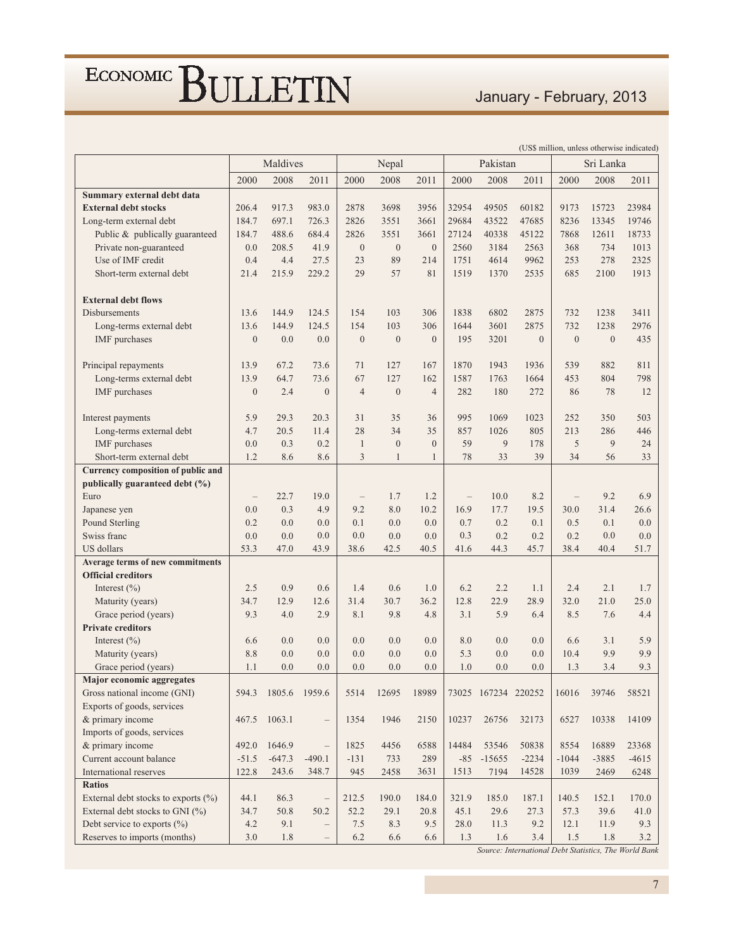### January - February, 2013

|                                                |                | Maldives      |                          |                  | Nepal          |                |                                   | Pakistan            |              |                | Sri Lanka        |         |
|------------------------------------------------|----------------|---------------|--------------------------|------------------|----------------|----------------|-----------------------------------|---------------------|--------------|----------------|------------------|---------|
|                                                | 2000           | 2008          | 2011                     | 2000             | 2008           | 2011           | 2000                              | 2008                | 2011         | 2000           | 2008             | 2011    |
| Summary external debt data                     |                |               |                          |                  |                |                |                                   |                     |              |                |                  |         |
| <b>External debt stocks</b>                    | 206.4          | 917.3         | 983.0                    | 2878             | 3698           | 3956           | 32954                             | 49505               | 60182        | 9173           | 15723            | 23984   |
| Long-term external debt                        | 184.7          | 697.1         | 726.3                    | 2826             | 3551           | 3661           | 29684                             | 43522               | 47685        | 8236           | 13345            | 19746   |
| Public & publically guaranteed                 | 184.7          | 488.6         | 684.4                    | 2826             | 3551           | 3661           | 27124                             | 40338               | 45122        | 7868           | 12611            | 18733   |
| Private non-guaranteed                         | 0.0            | 208.5         | 41.9                     | $\mathbf{0}$     | $\mathbf{0}$   | $\mathbf{0}$   | 2560                              | 3184                | 2563         | 368            | 734              | 1013    |
| Use of IMF credit                              | 0.4            | 4.4           | 27.5                     | 23               | 89             | 214            | 1751                              | 4614                | 9962         | 253            | 278              | 2325    |
| Short-term external debt                       | 21.4           | 215.9         | 229.2                    | 29               | 57             | 81             | 1519                              | 1370                | 2535         | 685            | 2100             | 1913    |
|                                                |                |               |                          |                  |                |                |                                   |                     |              |                |                  |         |
| <b>External debt flows</b>                     |                |               |                          |                  |                |                |                                   |                     |              |                |                  |         |
| Disbursements                                  | 13.6           | 144.9         | 124.5                    | 154              | 103            | 306            | 1838                              | 6802                | 2875         | 732            | 1238             | 3411    |
| Long-terms external debt                       | 13.6           | 144.9         | 124.5                    | 154              | 103            | 306            | 1644                              | 3601                | 2875         | 732            | 1238             | 2976    |
| IMF purchases                                  | $\overline{0}$ | 0.0           | 0.0                      | $\boldsymbol{0}$ | $\overline{0}$ | $\Omega$       | 195                               | 3201                | $\mathbf{0}$ | $\overline{0}$ | $\boldsymbol{0}$ | 435     |
|                                                |                |               |                          |                  |                |                |                                   |                     |              |                |                  |         |
| Principal repayments                           | 13.9           | 67.2          | 73.6                     | 71               | 127            | 167            | 1870                              | 1943                | 1936         | 539            | 882              | 811     |
| Long-terms external debt                       | 13.9           | 64.7          | 73.6                     | 67               | 127            | 162            | 1587                              | 1763                | 1664         | 453            | 804              | 798     |
| <b>IMF</b> purchases                           | $\overline{0}$ | 2.4           | $\mathbf{0}$             | $\overline{4}$   | $\mathbf{0}$   | $\overline{4}$ | 282                               | 180                 | 272          | 86             | 78               | 12      |
|                                                |                |               |                          |                  |                |                |                                   |                     |              |                |                  |         |
| Interest payments                              | 5.9            | 29.3          | 20.3                     | 31               | 35             | 36             | 995                               | 1069                | 1023         | 252            | 350              | 503     |
| Long-terms external debt                       | 4.7            | 20.5          | 11.4                     | 28               | 34             | 35             | 857                               | 1026                | 805          | 213            | 286              | 446     |
| <b>IMF</b> purchases                           | 0.0            | 0.3           | 0.2                      | $\mathbf{1}$     | $\mathbf{0}$   | $\Omega$       | 59                                | 9                   | 178          | 5              | 9                | 24      |
| Short-term external debt                       | 1.2            | 8.6           | 8.6                      | 3                | $\mathbf{1}$   | $\mathbf{1}$   | 78                                | 33                  | 39           | 34             | 56               | 33      |
| Currency composition of public and             |                |               |                          |                  |                |                |                                   |                     |              |                |                  |         |
| publically guaranteed debt (%)                 |                |               |                          |                  |                |                |                                   |                     |              |                |                  |         |
| Euro                                           |                | 22.7          | 19.0                     |                  | 1.7            | 1.2            | $\hspace{1.0cm} - \hspace{1.0cm}$ | 10.0                | 8.2          |                | 9.2              | 6.9     |
| Japanese yen                                   | 0.0            | 0.3           | 4.9                      | 9.2              | 8.0            | 10.2           | 16.9                              | 17.7                | 19.5         | 30.0           | 31.4             | 26.6    |
| Pound Sterling                                 | 0.2            | 0.0           | 0.0                      | 0.1              | 0.0            | 0.0            | 0.7                               | 0.2                 | 0.1          | 0.5            | 0.1              | 0.0     |
| Swiss franc                                    | 0.0            | 0.0           | 0.0                      | 0.0              | 0.0            | 0.0            | 0.3                               | 0.2                 | 0.2          | 0.2            | 0.0              | 0.0     |
| US dollars<br>Average terms of new commitments | 53.3           | 47.0          | 43.9                     | 38.6             | 42.5           | 40.5           | 41.6                              | 44.3                | 45.7         | 38.4           | 40.4             | 51.7    |
| <b>Official creditors</b>                      |                |               |                          |                  |                |                |                                   |                     |              |                |                  |         |
| Interest $(\% )$                               | 2.5            | 0.9           | 0.6                      | 1.4              | 0.6            | 1.0            | 6.2                               | 2.2                 | 1.1          | 2.4            | 2.1              | 1.7     |
| Maturity (years)                               | 34.7           | 12.9          | 12.6                     | 31.4             | 30.7           | 36.2           | 12.8                              | 22.9                | 28.9         | 32.0           | 21.0             | 25.0    |
| Grace period (years)                           | 9.3            | 4.0           | 2.9                      | 8.1              | 9.8            | 4.8            | 3.1                               | 5.9                 | 6.4          | 8.5            | 7.6              | 4.4     |
| <b>Private creditors</b>                       |                |               |                          |                  |                |                |                                   |                     |              |                |                  |         |
| Interest $(\% )$                               | 6.6            | 0.0           | 0.0                      | 0.0              | 0.0            | 0.0            | 8.0                               | 0.0                 | 0.0          | 6.6            | 3.1              | 5.9     |
| Maturity (years)                               | 8.8            | 0.0           | 0.0                      | 0.0              | 0.0            | 0.0            | 5.3                               | 0.0                 | 0.0          | 10.4           | 9.9              | 9.9     |
| Grace period (years)                           | 1.1            | 0.0           | 0.0                      | 0.0              | 0.0            | 0.0            | 1.0                               | 0.0                 | 0.0          | 1.3            | 3.4              | 9.3     |
| Major economic aggregates                      |                |               |                          |                  |                |                |                                   |                     |              |                |                  |         |
| Gross national income (GNI)                    | 594.3          | 1805.6 1959.6 |                          | 5514             | 12695          | 18989          |                                   | 73025 167234 220252 |              | 16016          | 39746            | 58521   |
| Exports of goods, services                     |                |               |                          |                  |                |                |                                   |                     |              |                |                  |         |
| & primary income                               | 467.5          | 1063.1        | $\qquad \qquad -$        | 1354             | 1946           | 2150           | 10237                             | 26756               | 32173        | 6527           | 10338            | 14109   |
| Imports of goods, services                     |                |               |                          |                  |                |                |                                   |                     |              |                |                  |         |
| & primary income                               | 492.0          | 1646.9        | $\overline{\phantom{0}}$ | 1825             | 4456           | 6588           | 14484                             | 53546               | 50838        | 8554           | 16889            | 23368   |
| Current account balance                        | $-51.5$        | $-647.3$      | $-490.1$                 | $-131$           | 733            | 289            | $-85$                             | $-15655$            | $-2234$      | $-1044$        | $-3885$          | $-4615$ |
| International reserves                         | 122.8          | 243.6         | 348.7                    | 945              | 2458           | 3631           | 1513                              | 7194                | 14528        | 1039           | 2469             | 6248    |
| <b>Ratios</b>                                  |                |               |                          |                  |                |                |                                   |                     |              |                |                  |         |
| External debt stocks to exports $(\% )$        | 44.1           | 86.3          | $\qquad \qquad -$        | 212.5            | 190.0          | 184.0          | 321.9                             | 185.0               | 187.1        | 140.5          | 152.1            | 170.0   |
| External debt stocks to GNI (%)                | 34.7           | 50.8          | 50.2                     | 52.2             | 29.1           | 20.8           | 45.1                              | 29.6                | 27.3         | 57.3           | 39.6             | 41.0    |
| Debt service to exports $(\% )$                | 4.2            | 9.1           | $\overline{\phantom{0}}$ | 7.5              | 8.3            | 9.5            | 28.0                              | 11.3                | 9.2          | 12.1           | 11.9             | 9.3     |
| Reserves to imports (months)                   | 3.0            | 1.8           | $\qquad \qquad -$        | 6.2              | 6.6            | 6.6            | 1.3                               | 1.6                 | 3.4          | 1.5            | 1.8              | 3.2     |

(US\$ million, unless otherwise indicated)

Source: International Debt Statistics, The World Bank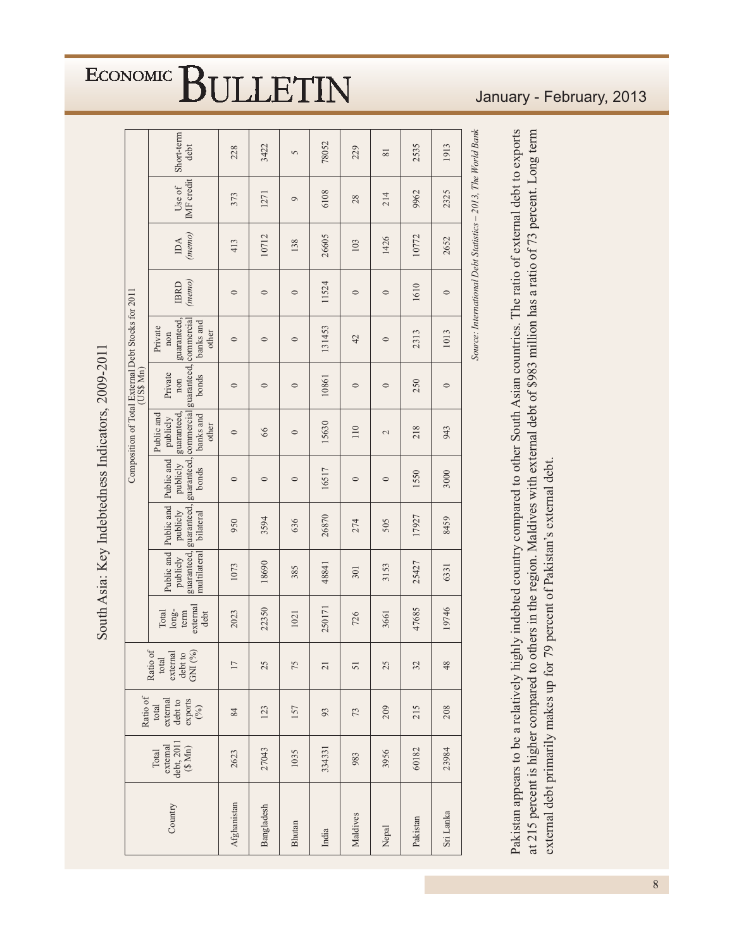|                                                                | Short-term<br>debt                                                                                                               | 228         | 3422       | 5       | 78052                    | 229            | $\overline{81}$ | 2535     | 1913      |                                                              |
|----------------------------------------------------------------|----------------------------------------------------------------------------------------------------------------------------------|-------------|------------|---------|--------------------------|----------------|-----------------|----------|-----------|--------------------------------------------------------------|
|                                                                | IMF credit<br>Use of                                                                                                             | 373         | 1271       | $\circ$ | 6108                     | 28             | 214             | 9962     | 2325      |                                                              |
|                                                                | (memo)<br>$IDA$                                                                                                                  | 413         | 10712      | 138     | 26605                    | 103            | 1426            | 10772    | 2652      |                                                              |
|                                                                | (memo)<br><b>IBRD</b>                                                                                                            | $\circ$     | $\circ$    | $\circ$ | 11524                    | $\circ$        | $\circ$         | 1610     | $\circ$   |                                                              |
|                                                                | guaranteed,<br>banks and<br>Private<br>other<br>non                                                                              | $\circ$     | $\circ$    | $\circ$ | 131453                   | 42             | $\circ$         | 2313     | 1013      | Source: International Debt Statistics - 2013, The World Bank |
| Composition of Total External Debt Stocks for 2011<br>(USS Mn) | guaranteed, guaranteed, guaranteed, commercial guaranteed, commercial<br>Private<br>bonds<br>non                                 | $\circ$     | $\circ$    | $\circ$ | 10861                    | $\circ$        | $\circ$         | 250      | $\circ$   |                                                              |
|                                                                | guaranteed,<br>banks and<br>Public and<br>publicly<br>other                                                                      | $\circ$     | 66         | $\circ$ | 15630                    | $110\,$        | $\sim$          | 218      | 943       |                                                              |
|                                                                | Public and<br>publicly<br>bonds                                                                                                  | $\circ$     | $\circ$    | $\circ$ | 16517                    | $\circ$        | $\circ$         | 1550     | 3000      |                                                              |
|                                                                | Public and Public and<br>publicly<br>bilateral                                                                                   | 950         | 3594       | 636     | 26870                    | 274            | 505             | 17927    | 8459      |                                                              |
|                                                                | multilateral<br>publicly                                                                                                         | 1073        | 18690      | 385     | 48841                    | 301            | 3153            | 25427    | 6331      |                                                              |
|                                                                | external<br>$long-$<br>Total<br>term<br>debt                                                                                     | 2023        | 22350      | 1021    | 250171                   | 726            | 3661            | 47685    | 19746     |                                                              |
|                                                                | Ratio of<br>$\begin{array}{c} \text{total} \\ \text{external} \\ \text{debt to} \\ \text{GNI} \, (\%) \end{array}$               |             | 25         | 75      | $\overline{\mathcal{L}}$ | $\overline{5}$ | 25              | 32       | 48        |                                                              |
|                                                                | Ratio of<br>$\begin{array}{c} \text{total} \\ \text{external} \\ \text{debt to} \\ \text{exports} \\ \text{exports} \end{array}$ | 84          | 123        | 157     | 93                       | 73             | 209             | 215      | 208       |                                                              |
|                                                                | external<br>debt, 2011<br>(\$ Mn)<br>Total                                                                                       | 2623        | 27043      | 1035    | 334331                   | 983            | 3956            | 60182    | 23984     |                                                              |
|                                                                | Country                                                                                                                          | Afghanistan | Bangladesh | Bhutan  | India                    | Maldives       | Nepal           | Pakistan | Sri Lanka |                                                              |

South Asia: Key Indebtedness Indicators, 2009-2011

Pakistan appears to be a relatively highly indebted country compared to other South Asian countries. The ratio of external debt to exports at 215 percent is higher compared to others in the region. Maldives with external debt of \$983 million has a ratio of 73 percent. Long term external debt primarily makes up for 79 percent of Pakistan's external debt.

#### January - February, 2013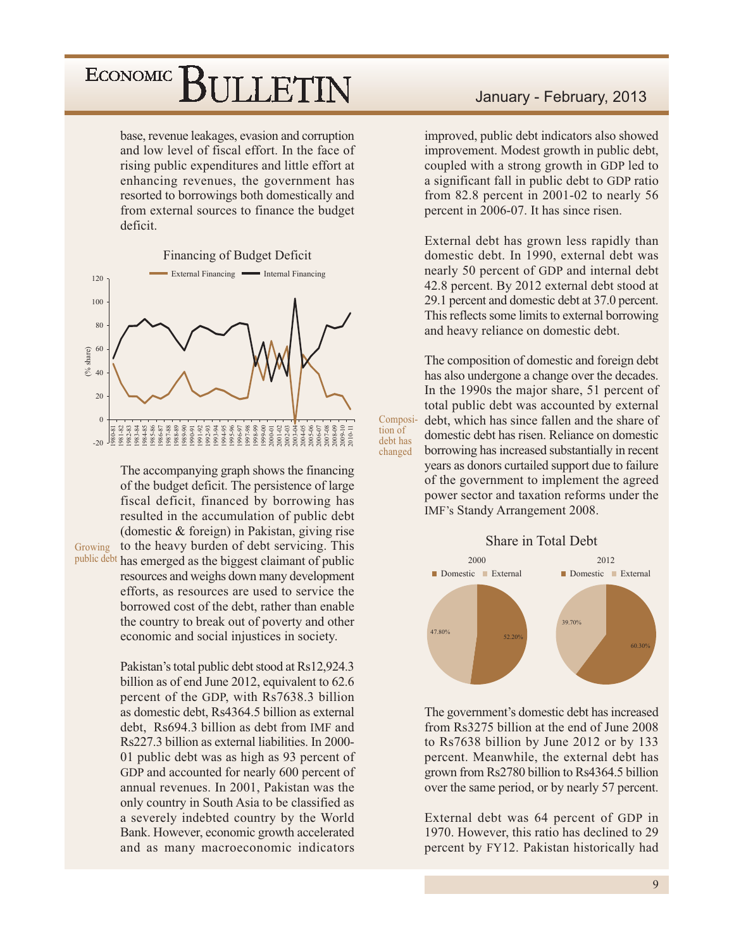base, revenue leakages, evasion and corruption and low level of fiscal effort. In the face of rising public expenditures and little effort at enhancing revenues, the government has resorted to borrowings both domestically and from external sources to finance the budget deficit.

#### **Financing of Budget Deficit**



The accompanying graph shows the financing of the budget deficit. The persistence of large fiscal deficit, financed by borrowing has resulted in the accumulation of public debt (domestic  $&$  foreign) in Pakistan, giving rise to the heavy burden of debt servicing. This

Growing

public debt has emerged as the biggest claimant of public resources and weighs down many development efforts, as resources are used to service the borrowed cost of the debt, rather than enable the country to break out of poverty and other economic and social injustices in society.

> Pakistan's total public debt stood at Rs12,924.3 billion as of end June 2012, equivalent to 62.6 percent of the GDP, with Rs7638.3 billion as domestic debt, Rs4364.5 billion as external debt. Rs694.3 billion as debt from IMF and Rs227.3 billion as external liabilities. In 2000-01 public debt was as high as 93 percent of GDP and accounted for nearly 600 percent of annual revenues. In 2001, Pakistan was the only country in South Asia to be classified as a severely indebted country by the World Bank. However, economic growth accelerated and as many macroeconomic indicators

#### January - February, 2013

improved, public debt indicators also showed improvement. Modest growth in public debt, coupled with a strong growth in GDP led to a significant fall in public debt to GDP ratio from  $82.8$  percent in  $2001-02$  to nearly 56 percent in 2006-07. It has since risen.

External debt has grown less rapidly than domestic debt. In 1990, external debt was nearly 50 percent of GDP and internal debt 42.8 percent. By 2012 external debt stood at 29.1 percent and domestic debt at 37.0 percent. This reflects some limits to external borrowing and heavy reliance on domestic debt.

The composition of domestic and foreign debt has also undergone a change over the decades. In the 1990s the major share, 51 percent of total public debt was accounted by external debt, which has since fallen and the share of domestic debt has risen. Reliance on domestic borrowing has increased substantially in recent years as donors curtailed support due to failure of the government to implement the agreed power sector and taxation reforms under the IMF's Standy Arrangement 2008.

Composi-

tion of

debt has

changed



The government's domestic debt has increased from Rs3275 billion at the end of June 2008 to Rs7638 billion by June 2012 or by 133 percent. Meanwhile, the external debt has grown from Rs2780 billion to Rs4364.5 billion over the same period, or by nearly 57 percent.

External debt was 64 percent of GDP in 1970. However, this ratio has declined to 29 percent by FY12. Pakistan historically had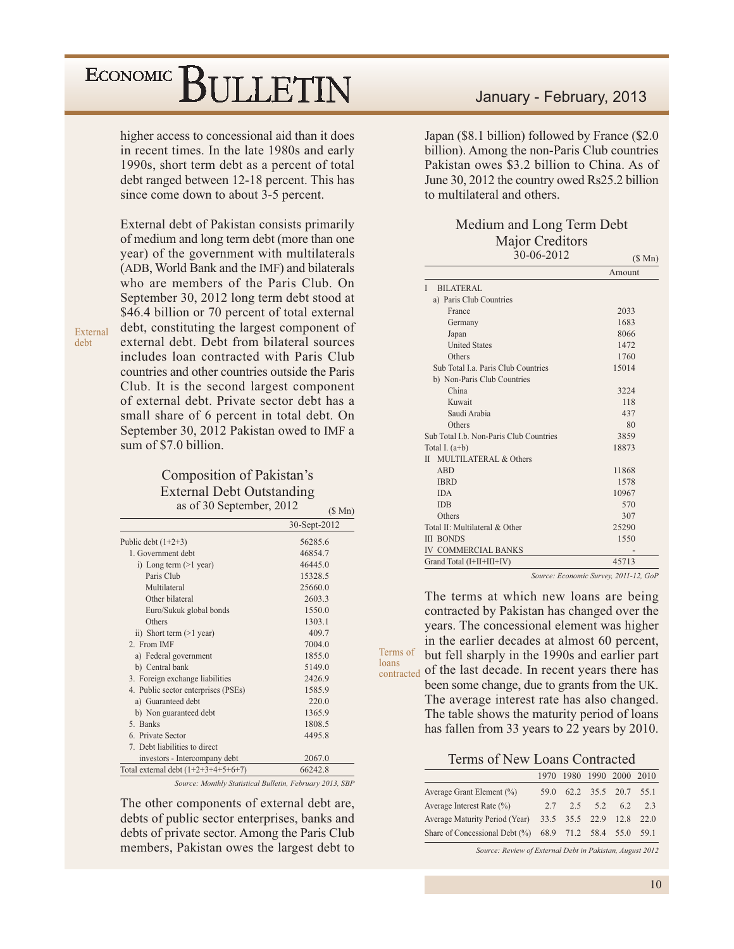higher access to concessional aid than it does in recent times. In the late 1980s and early 1990s, short term debt as a percent of total debt ranged between 12-18 percent. This has since come down to about 3-5 percent.

External debt of Pakistan consists primarily of medium and long term debt (more than one year) of the government with multilaterals (ADB, World Bank and the IMF) and bilaterals who are members of the Paris Club. On September 30, 2012 long term debt stood at \$46.4 billion or 70 percent of total external debt, constituting the largest component of external debt. Debt from bilateral sources includes loan contracted with Paris Club countries and other countries outside the Paris Club. It is the second largest component of external debt. Private sector debt has a small share of 6 percent in total debt. On September 30, 2012 Pakistan owed to IMF a sum of \$7.0 billion.

External

deht

#### **Composition of Pakistan's External Debt Outstanding** as of 30 September, 2012.

| $\sim$ 0.1 $\approx$ 0.0 $\sim$ 0.0 $\sim$ 0.1 $\sim$ 0.1, $\sim$ | $(S \text{ Mn})$ |
|-------------------------------------------------------------------|------------------|
|                                                                   | 30-Sept-2012     |
| Public debt $(1+2+3)$                                             | 56285.6          |
| 1 Government debt                                                 | 46854.7          |
| i) Long term $(>1$ year)                                          | 46445.0          |
| Paris Club                                                        | 15328.5          |
| Multilateral                                                      | 25660.0          |
| Other bilateral                                                   | 2603.3           |
| Euro/Sukuk global bonds                                           | 1550.0           |
| Others                                                            | 1303.1           |
| ii) Short term $(>1$ year)                                        | 409.7            |
| 2 From IMF                                                        | 7004.0           |
| a) Federal government                                             | 1855.0           |
| b) Central bank                                                   | 5149.0           |
| 3. Foreign exchange liabilities                                   | 2426.9           |
| 4. Public sector enterprises (PSEs)                               | 1585.9           |
| a) Guaranteed debt                                                | 220.0            |
| b) Non guaranteed debt                                            | 1365.9           |
| 5. Banks                                                          | 1808.5           |
| 6. Private Sector                                                 | 4495.8           |
| 7. Debt liabilities to direct                                     |                  |
| investors - Intercompany debt                                     | 2067.0           |
| Total external debt $(1+2+3+4+5+6+7)$                             | 66242.8          |

Source: Monthly Statistical Bulletin, February 2013, SBP

The other components of external debt are, debts of public sector enterprises, banks and debts of private sector. Among the Paris Club members, Pakistan owes the largest debt to

#### January - February, 2013

Japan (\$8.1 billion) followed by France (\$2.0 billion). Among the non-Paris Club countries Pakistan owes \$3.2 billion to China. As of June 30, 2012 the country owed Rs25.2 billion to multilateral and others

#### Medium and Long Term Debt **Maior Creditors**  $30 - 06 - 2012$

|                                                  | $(D$ $NII$ |
|--------------------------------------------------|------------|
|                                                  | Amount     |
| Ĭ<br>BILATERAL                                   |            |
| a) Paris Club Countries                          |            |
| France                                           | 2033       |
| Germany                                          | 1683       |
| Japan                                            | 8066       |
| <b>United States</b>                             | 1472       |
| Others                                           | 1760       |
| Sub Total La. Paris Club Countries               | 15014      |
| b) Non-Paris Club Countries                      |            |
| China                                            | 3224       |
| Kuwait                                           | 118        |
| Saudi Arabia                                     | 437        |
| Others                                           | 80         |
| Sub Total I.b. Non-Paris Club Countries          | 3859       |
| Total I. $(a+b)$                                 | 18873      |
| $\mathbf{H}$<br><b>MULTILATERAL &amp; Others</b> |            |
| <b>ABD</b>                                       | 11868      |
| <b>IBRD</b>                                      | 1578       |
| <b>IDA</b>                                       | 10967      |
| <b>IDB</b>                                       | 570        |
| Others                                           | 307        |
| Total II: Multilateral & Other                   | 25290      |
| <b>III BONDS</b>                                 | 1550       |
| <b>IV COMMERCIAL BANKS</b>                       |            |
| Grand Total (I+II+III+IV)                        | 45713      |

Source: Economic Survey, 2011-12, GoP

The terms at which new loans are being contracted by Pakistan has changed over the years. The concessional element was higher in the earlier decades at almost 60 percent, but fell sharply in the 1990s and earlier part contracted of the last decade. In recent years there has been some change, due to grants from the UK. The average interest rate has also changed. The table shows the maturity period of loans has fallen from 33 years to 22 years by 2010.

Terms of

loans

Terms of New Loans Contracted

|                                                         | 1970 |           | 1980 1990 2000 2010      |     |
|---------------------------------------------------------|------|-----------|--------------------------|-----|
| Average Grant Element (%)                               |      |           | 59.0 62.2 35.5 20.7 55.1 |     |
| Average Interest Rate $(\% )$                           | 2.7  | 2.5 $5.2$ | 6.2                      | 2.3 |
| Average Maturity Period (Year) 33.5 35.5 22.9 12.8 22.0 |      |           |                          |     |
| Share of Concessional Debt (%) 68.9 71.2 58.4 55.0 59.1 |      |           |                          |     |

Source: Review of External Debt in Pakistan, August 2012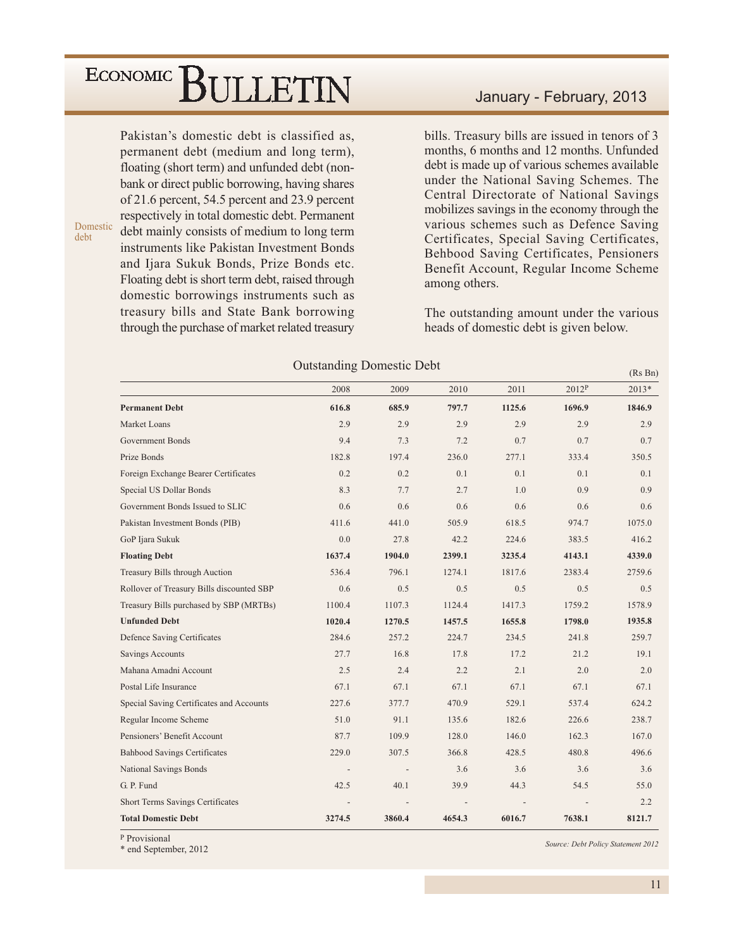Pakistan's domestic debt is classified as. permanent debt (medium and long term), floating (short term) and unfunded debt (nonbank or direct public borrowing, having shares of 21.6 percent, 54.5 percent and 23.9 percent respectively in total domestic debt. Permanent debt mainly consists of medium to long term instruments like Pakistan Investment Bonds and Ijara Sukuk Bonds, Prize Bonds etc. Floating debt is short term debt, raised through domestic borrowings instruments such as treasury bills and State Bank borrowing through the purchase of market related treasury

Domestic

debt

January - February, 2013

bills. Treasury bills are issued in tenors of 3 months, 6 months and 12 months. Unfunded debt is made up of various schemes available under the National Saving Schemes. The Central Directorate of National Savings mobilizes savings in the economy through the various schemes such as Defence Saving Certificates, Special Saving Certificates, Behbood Saving Certificates, Pensioners Benefit Account, Regular Income Scheme among others.

The outstanding amount under the various heads of domestic debt is given below.

|                                           |        |        |        |        |        | (Rs Bn) |
|-------------------------------------------|--------|--------|--------|--------|--------|---------|
|                                           | 2008   | 2009   | 2010   | 2011   | 2012P  | 2013*   |
| <b>Permanent Debt</b>                     | 616.8  | 685.9  | 797.7  | 1125.6 | 1696.9 | 1846.9  |
| Market Loans                              | 2.9    | 2.9    | 2.9    | 2.9    | 2.9    | 2.9     |
| <b>Government Bonds</b>                   | 9.4    | 7.3    | 7.2    | 0.7    | 0.7    | 0.7     |
| Prize Bonds                               | 182.8  | 197.4  | 236.0  | 277.1  | 333.4  | 350.5   |
| Foreign Exchange Bearer Certificates      | 0.2    | 0.2    | 0.1    | 0.1    | 0.1    | 0.1     |
| Special US Dollar Bonds                   | 8.3    | 7.7    | 2.7    | 1.0    | 0.9    | 0.9     |
| Government Bonds Issued to SLIC           | 0.6    | 0.6    | 0.6    | 0.6    | 0.6    | 0.6     |
| Pakistan Investment Bonds (PIB)           | 411.6  | 441.0  | 505.9  | 618.5  | 974.7  | 1075.0  |
| GoP Ijara Sukuk                           | 0.0    | 27.8   | 42.2   | 224.6  | 383.5  | 416.2   |
| <b>Floating Debt</b>                      | 1637.4 | 1904.0 | 2399.1 | 3235.4 | 4143.1 | 4339.0  |
| Treasury Bills through Auction            | 536.4  | 796.1  | 1274.1 | 1817.6 | 2383.4 | 2759.6  |
| Rollover of Treasury Bills discounted SBP | 0.6    | 0.5    | 0.5    | 0.5    | 0.5    | 0.5     |
| Treasury Bills purchased by SBP (MRTBs)   | 1100.4 | 1107.3 | 1124.4 | 1417.3 | 1759.2 | 1578.9  |
| <b>Unfunded Debt</b>                      | 1020.4 | 1270.5 | 1457.5 | 1655.8 | 1798.0 | 1935.8  |
| Defence Saving Certificates               | 284.6  | 257.2  | 224.7  | 234.5  | 241.8  | 259.7   |
| <b>Savings Accounts</b>                   | 27.7   | 16.8   | 17.8   | 17.2   | 21.2   | 19.1    |
| Mahana Amadni Account                     | 2.5    | 2.4    | 2.2    | 2.1    | 2.0    | 2.0     |
| Postal Life Insurance                     | 67.1   | 67.1   | 67.1   | 67.1   | 67.1   | 67.1    |
| Special Saving Certificates and Accounts  | 227.6  | 377.7  | 470.9  | 529.1  | 537.4  | 624.2   |
| Regular Income Scheme                     | 51.0   | 91.1   | 135.6  | 182.6  | 226.6  | 238.7   |
| Pensioners' Benefit Account               | 87.7   | 109.9  | 128.0  | 146.0  | 162.3  | 167.0   |
| <b>Bahbood Savings Certificates</b>       | 229.0  | 307.5  | 366.8  | 428.5  | 480.8  | 496.6   |
| National Savings Bonds                    |        |        | 3.6    | 3.6    | 3.6    | 3.6     |
| G. P. Fund                                | 42.5   | 40.1   | 39.9   | 44.3   | 54.5   | 55.0    |
| Short Terms Savings Certificates          |        |        |        |        |        | 2.2     |
| <b>Total Domestic Debt</b>                | 3274.5 | 3860.4 | 4654.3 | 6016.7 | 7638.1 | 8121.7  |

**Outstanding Domestic Debt** 

P Provisional

\* end September, 2012

Source: Debt Policy Statement 2012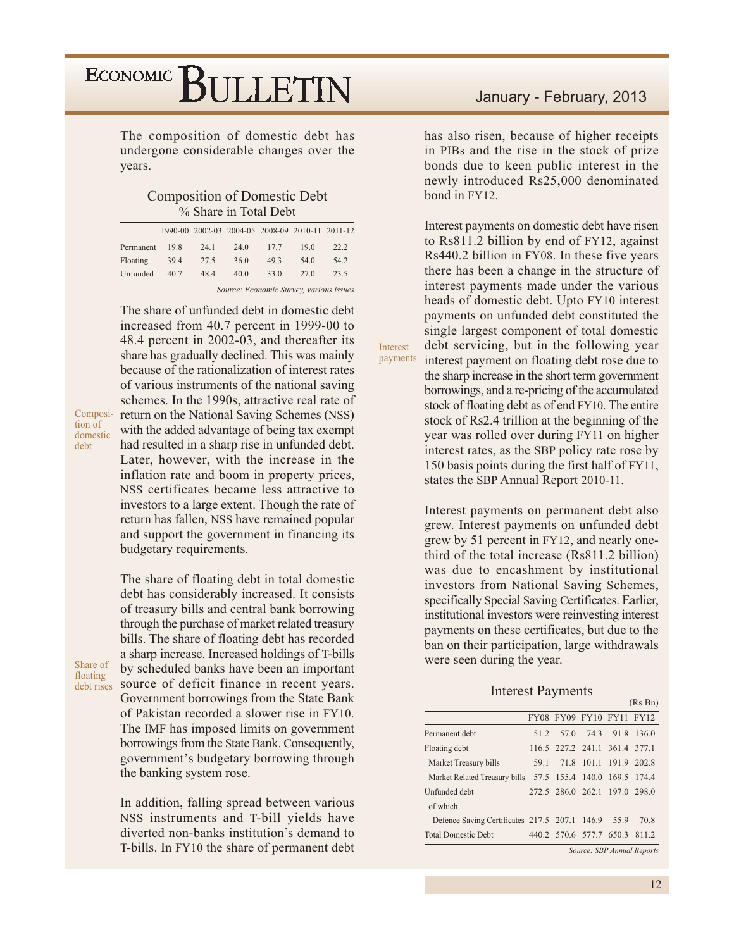The composition of domestic debt has undergone considerable changes over the years.

**Composition of Domestic Debt** % Share in Total Debt

|           |      |      | 1990-00 2002-03 2004-05 2008-09 2010-11 2011-12 |      |      |      |
|-----------|------|------|-------------------------------------------------|------|------|------|
| Permanent | 19.8 | 24.1 | 24.0                                            | 17.7 | 19.0 | 22.2 |
| Floating  | 39.4 | 27.5 | 36.0                                            | 49.3 | 54.0 | 54.2 |
| Unfunded  | 40.7 | 48.4 | 40.0                                            | 33.0 | 27.0 | 23.5 |
|           |      |      |                                                 |      |      |      |

Source: Economic Survey, various issues

The share of unfunded debt in domestic debt increased from 40.7 percent in 1999-00 to 48.4 percent in 2002-03, and thereafter its share has gradually declined. This was mainly because of the rationalization of interest rates of various instruments of the national saving schemes. In the 1990s, attractive real rate of return on the National Saving Schemes (NSS) with the added advantage of being tax exempt had resulted in a sharp rise in unfunded debt. Later, however, with the increase in the inflation rate and boom in property prices, NSS certificates became less attractive to investors to a large extent. Though the rate of return has fallen, NSS have remained popular and support the government in financing its budgetary requirements.

Share of floating

Composi-

domestic

tion of

debt

a sharp increase. Increased holdings of T-bills by scheduled banks have been an important debt rises source of deficit finance in recent years. Government borrowings from the State Bank of Pakistan recorded a slower rise in FY10. The IMF has imposed limits on government borrowings from the State Bank. Consequently, government's budgetary borrowing through the banking system rose.

The share of floating debt in total domestic

debt has considerably increased. It consists

of treasury bills and central bank borrowing

through the purchase of market related treasury

bills. The share of floating debt has recorded

In addition, falling spread between various NSS instruments and T-bill yields have diverted non-banks institution's demand to T-bills. In FY10 the share of permanent debt has also risen, because of higher receipts in PIBs and the rise in the stock of prize bonds due to keen public interest in the newly introduced Rs25,000 denominated bond in FY12.

Interest payments on domestic debt have risen to Rs811.2 billion by end of FY12, against Rs440.2 billion in FY08. In these five years there has been a change in the structure of interest payments made under the various heads of domestic debt. Upto FY10 interest payments on unfunded debt constituted the single largest component of total domestic debt servicing, but in the following year interest payment on floating debt rose due to

Interest payments

the sharp increase in the short term government borrowings, and a re-pricing of the accumulated stock of floating debt as of end FY10. The entire stock of Rs2.4 trillion at the beginning of the year was rolled over during FY11 on higher interest rates, as the SBP policy rate rose by 150 basis points during the first half of FY11, states the SBP Annual Report 2010-11.

Interest payments on permanent debt also grew. Interest payments on unfunded debt grew by 51 percent in FY12, and nearly onethird of the total increase (Rs811.2 billion) was due to encashment by institutional investors from National Saving Schemes, specifically Special Saving Certificates. Earlier, institutional investors were reinvesting interest payments on these certificates, but due to the ban on their participation, large withdrawals were seen during the year.

#### **Interest Payments**

|                                                            |      |                               |                      | (Rs Bn) |
|------------------------------------------------------------|------|-------------------------------|----------------------|---------|
|                                                            |      | FY08 FY09 FY10 FY11 FY12      |                      |         |
| Permanent debt                                             | 51 2 |                               | 57.0 74.3 91.8 136.0 |         |
| Floating debt                                              |      | 116.5 227.2 241.1 361.4 377.1 |                      |         |
| Market Treasury bills                                      |      | 59.1 71.8 101.1 191.9 202.8   |                      |         |
| Market Related Treasury bills 57.5 155.4 140.0 169.5 174.4 |      |                               |                      |         |
| Unfunded debt                                              |      | 272.5 286.0 262.1 197.0 298.0 |                      |         |
| of which                                                   |      |                               |                      |         |
| Defence Saving Certificates 217.5 207.1 146.9 55.9         |      |                               |                      | 70 R    |
| <b>Total Domestic Debt</b>                                 |      | 440.2 570.6 577.7 650.3 811.2 |                      |         |

Source: SBP Annual Reports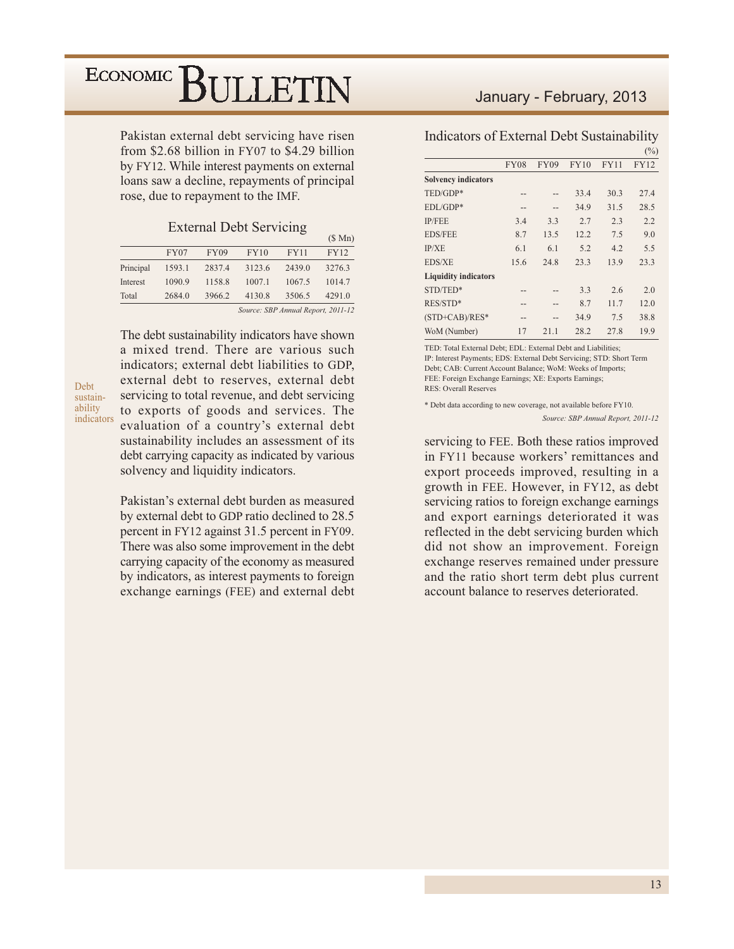Pakistan external debt servicing have risen from \$2.68 billion in FY07 to \$4.29 billion by FY12. While interest payments on external loans saw a decline, repayments of principal rose, due to repayment to the IMF.

#### **External Debt Servicing**

|           |             |             |        |                     | $(D$ IVIII)                      |
|-----------|-------------|-------------|--------|---------------------|----------------------------------|
|           | <b>FY07</b> | <b>FY09</b> | FY10   | <b>FY11</b>         | <b>FY12</b>                      |
| Principal | 1593.1      | 2837.4      | 3123.6 | 2439.0              | 3276.3                           |
| Interest  | 1090.9      | 1158.8      | 1007.1 | 1067.5              | 1014.7                           |
| Total     | 2684.0      | 3966.2      | 4130.8 | 3506.5              | 4291.0                           |
|           |             |             | $\sim$ | $CDD$ $\rightarrow$ | $1n$ , $2n$ , $3n$ , $3n$ , $3n$ |

Source: SBP Annual Report, 2011-12

 $(0.3.5)$ 

Debt sustainability indicators The debt sustainability indicators have shown a mixed trend. There are various such indicators: external debt liabilities to GDP. external debt to reserves, external debt servicing to total revenue, and debt servicing to exports of goods and services. The evaluation of a country's external debt sustainability includes an assessment of its debt carrying capacity as indicated by various solvency and liquidity indicators.

Pakistan's external debt burden as measured by external debt to GDP ratio declined to 28.5 percent in FY12 against 31.5 percent in FY09. There was also some improvement in the debt carrying capacity of the economy as measured by indicators, as interest payments to foreign exchange earnings (FEE) and external debt

#### January - February, 2013

|  | Indicators of External Debt Sustainability |
|--|--------------------------------------------|
|--|--------------------------------------------|

|                             |             |             |             |             | $(\%)$      |
|-----------------------------|-------------|-------------|-------------|-------------|-------------|
|                             | <b>FY08</b> | <b>FY09</b> | <b>FY10</b> | <b>FY11</b> | <b>FY12</b> |
| <b>Solvency indicators</b>  |             |             |             |             |             |
| TED/GDP*                    | --          |             | 33.4        | 30.3        | 27.4        |
| $EDL/GDP*$                  | --          |             | 34.9        | 31.5        | 28.5        |
| <b>IP/FEE</b>               | 3.4         | 3.3         | 2.7         | 2.3         | 2.2         |
| <b>EDS/FEE</b>              | 8.7         | 13.5        | 12.2        | 7.5         | 9.0         |
| IP/XE                       | 6.1         | 6.1         | 5.2         | 4.2         | 5.5         |
| EDS/XE                      | 15.6        | 24.8        | 23.3        | 13.9        | 23.3        |
| <b>Liquidity indicators</b> |             |             |             |             |             |
| STD/TED*                    | --          |             | 3.3         | 2.6         | 2.0         |
| RES/STD*                    | --          |             | 8.7         | 11.7        | 12.0        |
| $(STD+CAB)/RES^*$           | --          |             | 34.9        | 7.5         | 38.8        |
| WoM (Number)                | 17          | 21.1        | 28.2        | 27.8        | 19.9        |

TED: Total External Debt; EDL: External Debt and Liabilities; IP: Interest Payments; EDS: External Debt Servicing; STD: Short Term Debt; CAB: Current Account Balance; WoM: Weeks of Imports; FEE: Foreign Exchange Earnings; XE: Exports Earnings; **RES: Overall Reserves** 

\* Debt data according to new coverage, not available before FY10. Source: SBP Annual Report, 2011-12

servicing to FEE. Both these ratios improved in FY11 because workers' remittances and export proceeds improved, resulting in a growth in FEE. However, in FY12, as debt servicing ratios to foreign exchange earnings and export earnings deteriorated it was reflected in the debt servicing burden which did not show an improvement. Foreign exchange reserves remained under pressure and the ratio short term debt plus current account balance to reserves deteriorated.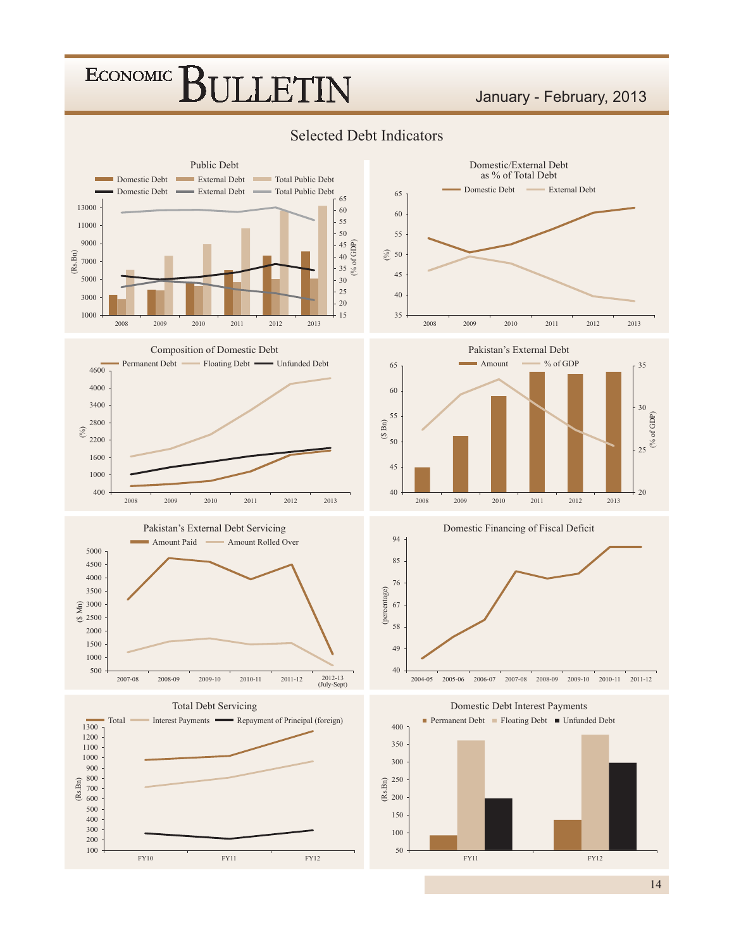#### January - February, 2013



#### **Selected Debt Indicators**



Domestic/External Debt





**Total Debt Servicing** 









 $14$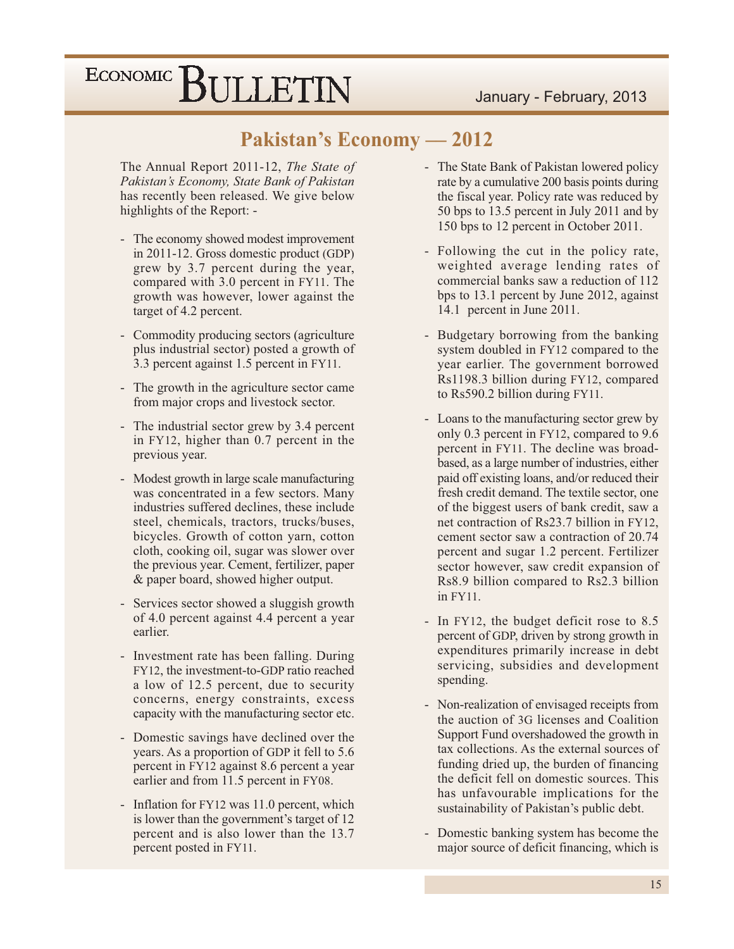### **Pakistan's Economy — 2012**

The Annual Report 2011-12, The State of Pakistan's Economy, State Bank of Pakistan has recently been released. We give below highlights of the Report: -

- The economy showed modest improvement in 2011-12. Gross domestic product (GDP) grew by 3.7 percent during the year, compared with 3.0 percent in FY11. The growth was however, lower against the target of 4.2 percent.
- Commodity producing sectors (agriculture) plus industrial sector) posted a growth of 3.3 percent against 1.5 percent in FY11.
- The growth in the agriculture sector came from major crops and livestock sector.
- The industrial sector grew by 3.4 percent in FY12, higher than 0.7 percent in the previous year.
- $\mathcal{L}^{\pm}$ Modest growth in large scale manufacturing was concentrated in a few sectors. Many industries suffered declines, these include steel, chemicals, tractors, trucks/buses, bicycles. Growth of cotton yarn, cotton cloth, cooking oil, sugar was slower over the previous year. Cement, fertilizer, paper & paper board, showed higher output.
- Services sector showed a sluggish growth of 4.0 percent against 4.4 percent a year earlier.
- Investment rate has been falling. During FY12, the investment-to-GDP ratio reached a low of 12.5 percent, due to security concerns, energy constraints, excess capacity with the manufacturing sector etc.
- Domestic savings have declined over the years. As a proportion of GDP it fell to 5.6 percent in FY12 against 8.6 percent a year earlier and from 11.5 percent in FY08.
- Inflation for FY12 was 11.0 percent, which is lower than the government's target of 12 percent and is also lower than the 13.7 percent posted in FY11.
- The State Bank of Pakistan lowered policy rate by a cumulative 200 basis points during the fiscal year. Policy rate was reduced by 50 bps to 13.5 percent in July 2011 and by 150 bps to 12 percent in October 2011.
- Following the cut in the policy rate, weighted average lending rates of commercial banks saw a reduction of 112 bps to 13.1 percent by June 2012, against 14.1 percent in June 2011.
- Budgetary borrowing from the banking system doubled in FY12 compared to the year earlier. The government borrowed Rs1198.3 billion during FY12, compared to Rs590.2 billion during FY11.
- Loans to the manufacturing sector grew by  $\sim$ only 0.3 percent in FY12, compared to 9.6 percent in FY11. The decline was broadbased, as a large number of industries, either paid off existing loans, and/or reduced their fresh credit demand. The textile sector, one of the biggest users of bank credit, saw a net contraction of Rs23.7 billion in FY12. cement sector saw a contraction of 20.74 percent and sugar 1.2 percent. Fertilizer sector however, saw credit expansion of Rs8.9 billion compared to Rs2.3 billion in FY11.
- In FY12, the budget deficit rose to 8.5 percent of GDP, driven by strong growth in expenditures primarily increase in debt servicing, subsidies and development spending.
- Non-realization of envisaged receipts from the auction of 3G licenses and Coalition Support Fund overshadowed the growth in tax collections. As the external sources of funding dried up, the burden of financing the deficit fell on domestic sources. This has unfavourable implications for the sustainability of Pakistan's public debt.
- Domestic banking system has become the major source of deficit financing, which is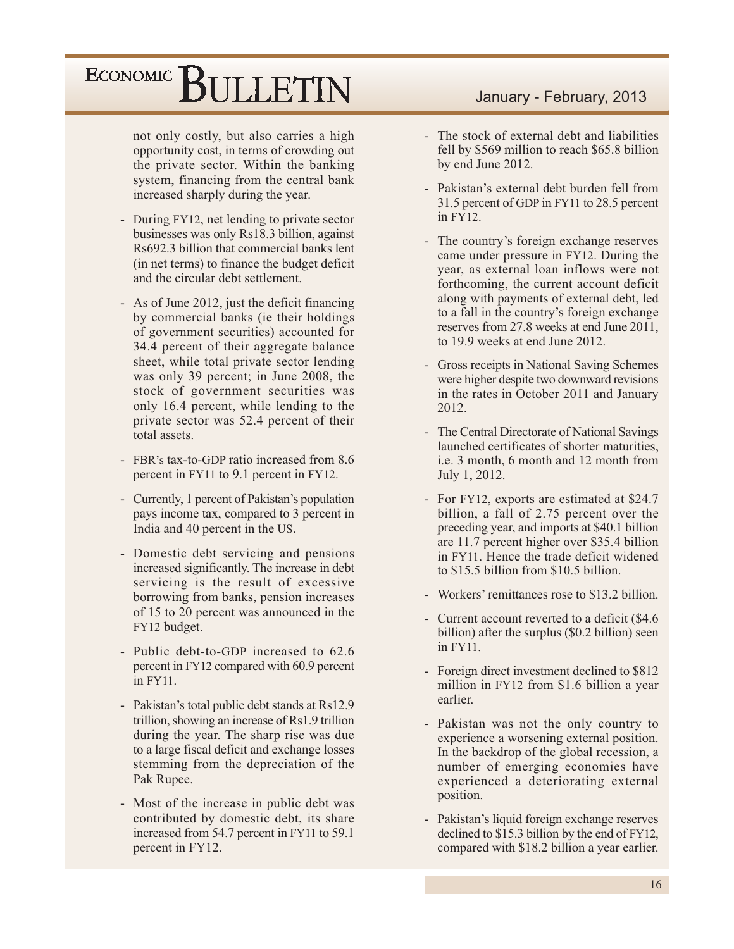not only costly, but also carries a high opportunity cost, in terms of crowding out the private sector. Within the banking system, financing from the central bank increased sharply during the year.

- During FY12, net lending to private sector businesses was only Rs18.3 billion, against Rs692.3 billion that commercial banks lent (in net terms) to finance the budget deficit and the circular debt settlement.
- As of June 2012, just the deficit financing by commercial banks (ie their holdings) of government securities) accounted for 34.4 percent of their aggregate balance sheet, while total private sector lending was only 39 percent; in June 2008, the stock of government securities was only 16.4 percent, while lending to the private sector was 52.4 percent of their total assets.
- FBR's tax-to-GDP ratio increased from 8.6 percent in FY11 to 9.1 percent in FY12.
- Currently, 1 percent of Pakistan's population pays income tax, compared to 3 percent in India and 40 percent in the US.
- Domestic debt servicing and pensions increased significantly. The increase in debt servicing is the result of excessive borrowing from banks, pension increases of 15 to 20 percent was announced in the FY12 budget.
- Public debt-to-GDP increased to 62.6 percent in FY12 compared with 60.9 percent in FY11.
- Pakistan's total public debt stands at Rs12.9 trillion, showing an increase of Rs1.9 trillion during the year. The sharp rise was due to a large fiscal deficit and exchange losses stemming from the depreciation of the Pak Rupee.
- Most of the increase in public debt was contributed by domestic debt, its share increased from 54.7 percent in FY11 to 59.1 percent in FY12.

#### January - February, 2013

- The stock of external debt and liabilities fell by \$569 million to reach \$65.8 billion by end June 2012.
- Pakistan's external debt burden fell from 31.5 percent of GDP in FY11 to 28.5 percent in FY12.
- The country's foreign exchange reserves came under pressure in FY12. During the year, as external loan inflows were not forthcoming, the current account deficit along with payments of external debt, led to a fall in the country's foreign exchange reserves from 27.8 weeks at end June 2011, to 19.9 weeks at end June 2012.
- Gross receipts in National Saving Schemes were higher despite two downward revisions in the rates in October 2011 and January 2012.
- The Central Directorate of National Savings launched certificates of shorter maturities. i.e. 3 month, 6 month and 12 month from July 1, 2012.
- For FY12, exports are estimated at \$24.7 billion, a fall of 2.75 percent over the preceding year, and imports at \$40.1 billion are 11.7 percent higher over \$35.4 billion in FY11. Hence the trade deficit widened to  $$15.5$  billion from  $$10.5$  billion.
- Workers' remittances rose to \$13.2 billion.
- Current account reverted to a deficit (\$4.6) billion) after the surplus (\$0.2 billion) seen  $in$  FY11.
- Foreign direct investment declined to \$812 million in FY12 from \$1.6 billion a year earlier.
- Pakistan was not the only country to experience a worsening external position. In the backdrop of the global recession, a number of emerging economies have experienced a deteriorating external position.
- Pakistan's liquid foreign exchange reserves declined to \$15.3 billion by the end of FY12, compared with \$18.2 billion a year earlier.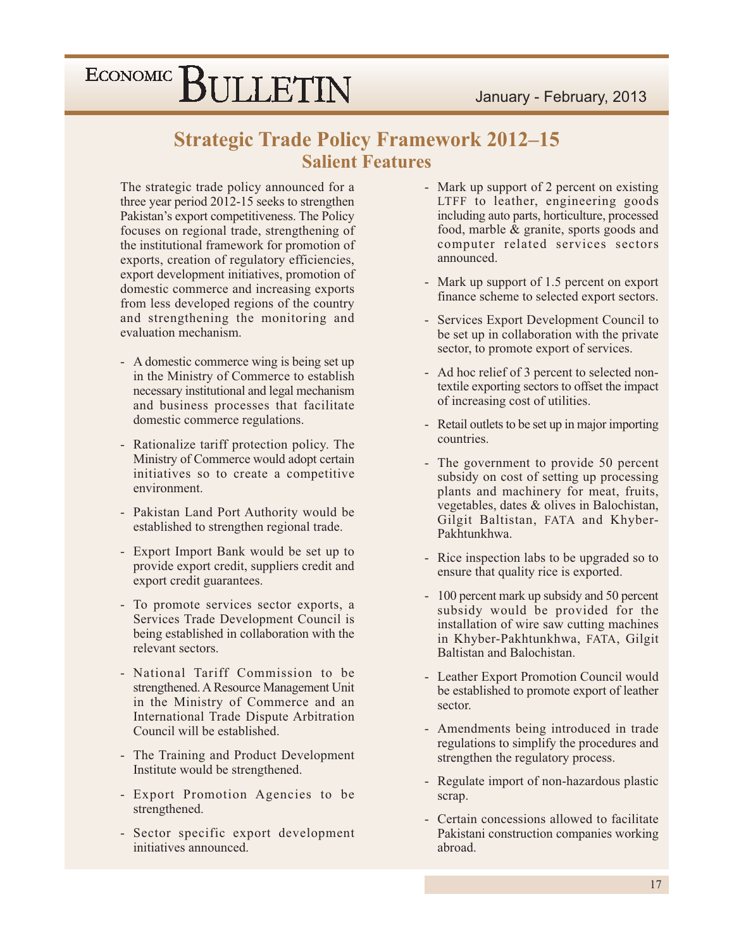### **Strategic Trade Policy Framework 2012-15 Salient Features**

The strategic trade policy announced for a three year period 2012-15 seeks to strengthen Pakistan's export competitiveness. The Policy focuses on regional trade, strengthening of the institutional framework for promotion of exports, creation of regulatory efficiencies, export development initiatives, promotion of domestic commerce and increasing exports from less developed regions of the country and strengthening the monitoring and evaluation mechanism.

- A domestic commerce wing is being set up in the Ministry of Commerce to establish necessary institutional and legal mechanism and business processes that facilitate domestic commerce regulations.
- Rationalize tariff protection policy. The Ministry of Commerce would adopt certain initiatives so to create a competitive environment.
- Pakistan Land Port Authority would be established to strengthen regional trade.
- Export Import Bank would be set up to provide export credit, suppliers credit and export credit guarantees.
- To promote services sector exports, a Services Trade Development Council is being established in collaboration with the relevant sectors.
- National Tariff Commission to be strengthened. A Resource Management Unit in the Ministry of Commerce and an International Trade Dispute Arbitration Council will be established.
- The Training and Product Development Institute would be strengthened.
- Export Promotion Agencies to be strengthened.
- Sector specific export development initiatives announced.
- Mark up support of 2 percent on existing LTFF to leather, engineering goods including auto parts, horticulture, processed food, marble & granite, sports goods and computer related services sectors announced.
- Mark up support of 1.5 percent on export finance scheme to selected export sectors.
- Services Export Development Council to be set up in collaboration with the private sector, to promote export of services.
- Ad hoc relief of 3 percent to selected nontextile exporting sectors to offset the impact of increasing cost of utilities.
- Retail outlets to be set up in major importing countries.
- The government to provide 50 percent subsidy on cost of setting up processing plants and machinery for meat, fruits, vegetables, dates & olives in Balochistan, Gilgit Baltistan, FATA and Khyber-Pakhtunkhwa.
- Rice inspection labs to be upgraded so to ensure that quality rice is exported.
- 100 percent mark up subsidy and 50 percent subsidy would be provided for the installation of wire saw cutting machines in Khyber-Pakhtunkhwa, FATA, Gilgit Baltistan and Balochistan.
- Leather Export Promotion Council would be established to promote export of leather sector.
- Amendments being introduced in trade regulations to simplify the procedures and strengthen the regulatory process.
- Regulate import of non-hazardous plastic scrap.
- Certain concessions allowed to facilitate Pakistani construction companies working abroad.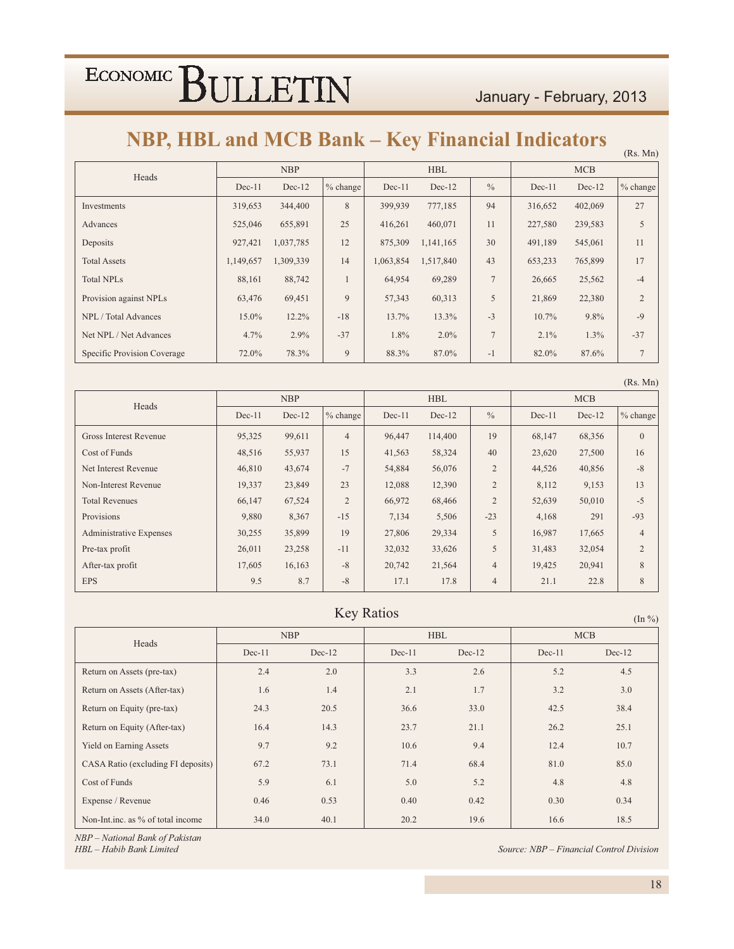$(Rs. Mn)$ 

### NBP, HBL and MCB Bank – Key Financial Indicators

| Heads                       | <b>NBP</b> |           |             |           | <b>HBL</b> |                | <b>MCB</b> |          |                |
|-----------------------------|------------|-----------|-------------|-----------|------------|----------------|------------|----------|----------------|
|                             | $Dec-11$   | $Dec-12$  | $\%$ change | $Dec-11$  | $Dec-12$   | $\frac{0}{0}$  | $Dec-11$   | $Dec-12$ | $%$ change     |
| Investments                 | 319,653    | 344,400   | 8           | 399,939   | 777,185    | 94             | 316,652    | 402,069  | 27             |
| Advances                    | 525,046    | 655,891   | 25          | 416,261   | 460,071    | 11             | 227,580    | 239,583  | 5              |
| Deposits                    | 927,421    | 1,037,785 | 12          | 875,309   | 1,141,165  | 30             | 491,189    | 545,061  | 11             |
| <b>Total Assets</b>         | 1,149,657  | 1,309,339 | 14          | 1,063,854 | 1,517,840  | 43             | 653,233    | 765,899  | 17             |
| <b>Total NPLs</b>           | 88.161     | 88,742    |             | 64,954    | 69,289     | $\overline{7}$ | 26,665     | 25,562   | $-4$           |
| Provision against NPLs      | 63,476     | 69,451    | 9           | 57,343    | 60,313     | 5              | 21,869     | 22,380   | $\overline{2}$ |
| NPL / Total Advances        | 15.0%      | $12.2\%$  | $-18$       | 13.7%     | 13.3%      | $-3$           | 10.7%      | 9.8%     | $-9$           |
| Net NPL / Net Advances      | 4.7%       | 2.9%      | $-37$       | 1.8%      | $2.0\%$    | $\tau$         | $2.1\%$    | $1.3\%$  | $-37$          |
| Specific Provision Coverage | 72.0%      | 78.3%     | 9           | 88.3%     | 87.0%      | -1             | 82.0%      | 87.6%    | 7              |

|                                |            |          |                |          |            |                |            |          | (Rs. Mn)       |
|--------------------------------|------------|----------|----------------|----------|------------|----------------|------------|----------|----------------|
| Heads                          | <b>NBP</b> |          |                |          | <b>HBL</b> |                | <b>MCB</b> |          |                |
|                                | $Dec-11$   | $Dec-12$ | $%$ change     | $Dec-11$ | $Dec-12$   | $\frac{0}{0}$  | $Dec-11$   | $Dec-12$ | % change       |
| Gross Interest Revenue         | 95,325     | 99,611   | $\overline{4}$ | 96,447   | 114,400    | 19             | 68,147     | 68,356   | $\mathbf{0}$   |
| Cost of Funds                  | 48,516     | 55,937   | 15             | 41,563   | 58,324     | 40             | 23,620     | 27,500   | 16             |
| Net Interest Revenue           | 46,810     | 43,674   | $-7$           | 54,884   | 56,076     | $\overline{2}$ | 44,526     | 40,856   | $-8$           |
| Non-Interest Revenue           | 19,337     | 23,849   | 23             | 12,088   | 12,390     | $\overline{2}$ | 8,112      | 9,153    | 13             |
| <b>Total Revenues</b>          | 66,147     | 67,524   | $\overline{2}$ | 66,972   | 68,466     | $\overline{2}$ | 52,639     | 50,010   | $-5$           |
| Provisions                     | 9,880      | 8,367    | $-15$          | 7,134    | 5,506      | $-23$          | 4,168      | 291      | $-93$          |
| <b>Administrative Expenses</b> | 30,255     | 35,899   | 19             | 27,806   | 29,334     | 5              | 16,987     | 17,665   | $\overline{4}$ |
| Pre-tax profit                 | 26,011     | 23,258   | $-11$          | 32,032   | 33,626     | 5              | 31,483     | 32,054   | $\overline{2}$ |
| After-tax profit               | 17,605     | 16,163   | $-8$           | 20,742   | 21,564     | $\overline{4}$ | 19,425     | 20,941   | 8              |
| <b>EPS</b>                     | 9.5        | 8.7      | $-8$           | 17.1     | 17.8       | $\overline{4}$ | 21.1       | 22.8     | 8              |

#### Key Ratios

| $(III \ 70)$                       |          |            |          |            |            |          |  |  |
|------------------------------------|----------|------------|----------|------------|------------|----------|--|--|
| Heads                              |          | <b>NBP</b> |          | <b>HBL</b> | <b>MCB</b> |          |  |  |
|                                    | $Dec-11$ | $Dec-12$   | $Dec-11$ | $Dec-12$   | $Dec-11$   | $Dec-12$ |  |  |
| Return on Assets (pre-tax)         | 2.4      | 2.0        | 3.3      | 2.6        | 5.2        | 4.5      |  |  |
| Return on Assets (After-tax)       | 1.6      | 1.4        | 2.1      | 1.7        | 3.2        | 3.0      |  |  |
| Return on Equity (pre-tax)         | 24.3     | 20.5       | 36.6     | 33.0       | 42.5       | 38.4     |  |  |
| Return on Equity (After-tax)       | 16.4     | 14.3       | 23.7     | 21.1       | 26.2       | 25.1     |  |  |
| <b>Yield on Earning Assets</b>     | 9.7      | 9.2        | 10.6     | 9.4        | 12.4       | 10.7     |  |  |
| CASA Ratio (excluding FI deposits) | 67.2     | 73.1       | 71.4     | 68.4       | 81.0       | 85.0     |  |  |
| Cost of Funds                      | 5.9      | 6.1        | 5.0      | 5.2        | 4.8        | 4.8      |  |  |
| Expense / Revenue                  | 0.46     | 0.53       | 0.40     | 0.42       | 0.30       | 0.34     |  |  |
| Non-Int.inc. as % of total income  | 34.0     | 40.1       | 20.2     | 19.6       | 16.6       | 18.5     |  |  |

*NBP – National Bank of Pakistan* 

*HBL* - Habib Bank Limited  $\boldsymbol{\delta}$ , *k Limited* Society and  $\boldsymbol{\delta}$ ,  $\boldsymbol{\delta}$ 

*k urce: NBP – Financial Control Division*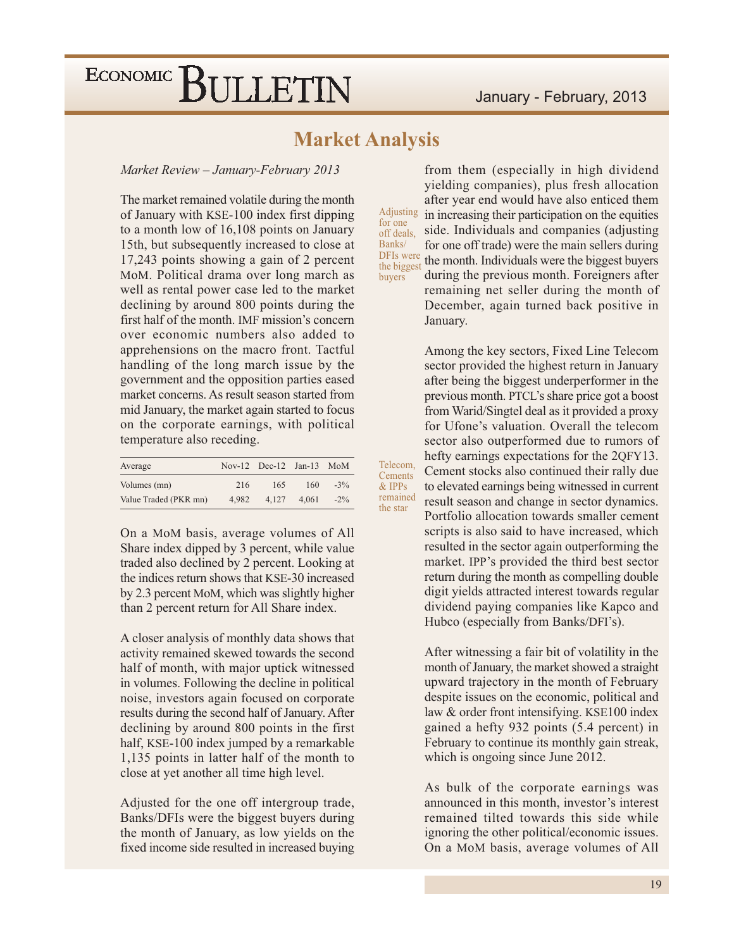### **Market Analysis**

Telecom,

Cements  $&$  IPPs

remained

the star

Market Review - January-February 2013

The market remained volatile during the month of January with KSE-100 index first dipping to a month low of 16,108 points on January 15th, but subsequently increased to close at 17,243 points showing a gain of 2 percent MoM. Political drama over long march as well as rental power case led to the market declining by around 800 points during the first half of the month. IMF mission's concern over economic numbers also added to apprehensions on the macro front. Tactful handling of the long march issue by the government and the opposition parties eased market concerns. As result season started from mid January, the market again started to focus on the corporate earnings, with political temperature also receding.

| Average               |       | Nov-12 Dec-12 Jan-13 $M_0$ |       |        |
|-----------------------|-------|----------------------------|-------|--------|
| Volumes (mn)          | 216   | 165                        | 160   | $-3\%$ |
| Value Traded (PKR mn) | 4.982 | 4.127                      | 4.061 | $-2\%$ |

On a MoM basis, average volumes of All Share index dipped by 3 percent, while value traded also declined by 2 percent. Looking at the indices return shows that KSE-30 increased by 2.3 percent MoM, which was slightly higher than 2 percent return for All Share index.

A closer analysis of monthly data shows that activity remained skewed towards the second half of month, with major uptick witnessed in volumes. Following the decline in political noise, investors again focused on corporate results during the second half of January. After declining by around 800 points in the first half, KSE-100 index jumped by a remarkable 1,135 points in latter half of the month to close at yet another all time high level.

Adjusted for the one off intergroup trade, Banks/DFIs were the biggest buyers during the month of January, as low yields on the fixed income side resulted in increased buying

from them (especially in high dividend yielding companies), plus fresh allocation after year end would have also enticed them Adjusting in increasing their participation on the equities for one side. Individuals and companies (adjusting off deals. Banks/ for one off trade) were the main sellers during DFIs were the month. Individuals were the biggest buyers the biggest during the previous month. Foreigners after buyers remaining net seller during the month of December, again turned back positive in January.

> Among the key sectors, Fixed Line Telecom sector provided the highest return in January after being the biggest underperformer in the previous month. PTCL's share price got a boost from Warid/Singtel deal as it provided a proxy for Ufone's valuation. Overall the telecom sector also outperformed due to rumors of hefty earnings expectations for the 2QFY13. Cement stocks also continued their rally due to elevated earnings being witnessed in current result season and change in sector dynamics. Portfolio allocation towards smaller cement scripts is also said to have increased, which resulted in the sector again outperforming the market. IPP's provided the third best sector return during the month as compelling double digit yields attracted interest towards regular dividend paying companies like Kapco and

> After witnessing a fair bit of volatility in the month of January, the market showed a straight upward trajectory in the month of February despite issues on the economic, political and law & order front intensifying. KSE100 index gained a hefty 932 points (5.4 percent) in February to continue its monthly gain streak, which is ongoing since June 2012.

Hubco (especially from Banks/DFI's).

As bulk of the corporate earnings was announced in this month, investor's interest remained tilted towards this side while ignoring the other political/economic issues. On a MoM basis, average volumes of All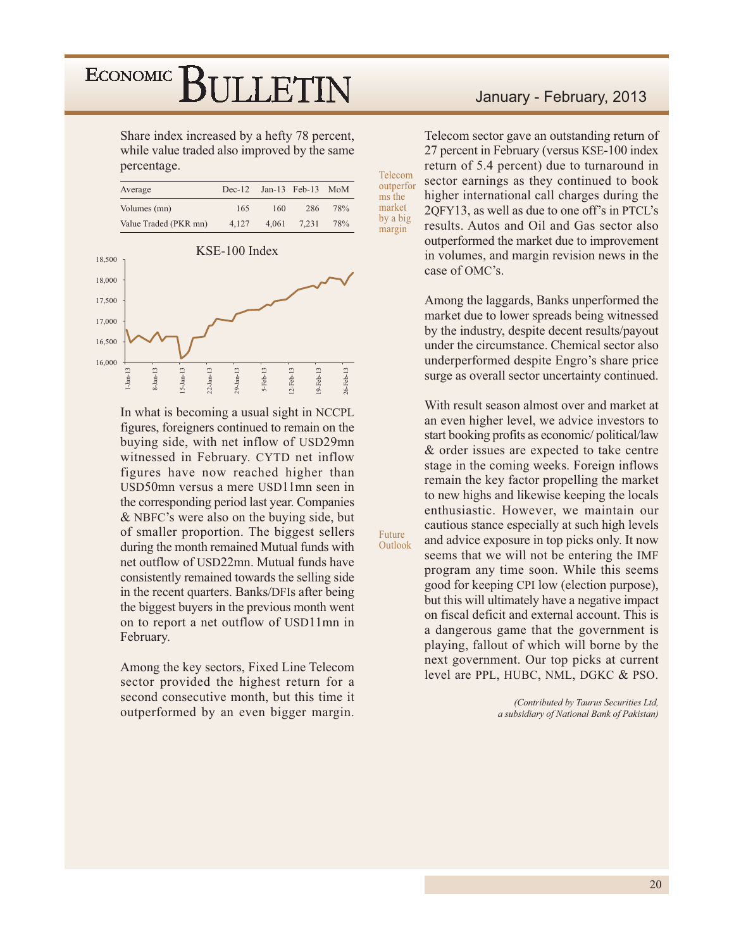Share index increased by a hefty 78 percent, while value traded also improved by the same percentage.

| Average               | $Dec-12$ |       | Jan-13 $\text{Feb-13}$ | - MoM |
|-----------------------|----------|-------|------------------------|-------|
| Volumes (mn)          | 165      | 160   | 286                    | 78%   |
| Value Traded (PKR mn) | 4.127    | 4.061 | 7.231                  | 78%   |



In what is becoming a usual sight in NCCPL figures, foreigners continued to remain on the buying side, with net inflow of USD29mn witnessed in February. CYTD net inflow figures have now reached higher than USD50mn versus a mere USD11mn seen in the corresponding period last year. Companies & NBFC's were also on the buying side, but of smaller proportion. The biggest sellers during the month remained Mutual funds with net outflow of USD22mn. Mutual funds have consistently remained towards the selling side in the recent quarters. Banks/DFIs after being the biggest buyers in the previous month went on to report a net outflow of USD11mn in February.

Among the key sectors, Fixed Line Telecom sector provided the highest return for a second consecutive month, but this time it outperformed by an even bigger margin.

#### January - February, 2013

Telecom sector gave an outstanding return of 27 percent in February (versus KSE-100 index return of 5.4 percent) due to turnaround in sector earnings as they continued to book higher international call charges during the 2QFY13, as well as due to one off's in PTCL's results. Autos and Oil and Gas sector also outperformed the market due to improvement in volumes, and margin revision news in the case of OMC's.

Telecom

outperfor

ms the market

by a big

margin

Future

Outlook

Among the laggards, Banks unperformed the market due to lower spreads being witnessed by the industry, despite decent results/payout under the circumstance. Chemical sector also underperformed despite Engro's share price surge as overall sector uncertainty continued.

With result season almost over and market at an even higher level, we advice investors to start booking profits as economic/political/law & order issues are expected to take centre stage in the coming weeks. Foreign inflows remain the key factor propelling the market to new highs and likewise keeping the locals enthusiastic. However, we maintain our cautious stance especially at such high levels and advice exposure in top picks only. It now seems that we will not be entering the IMF program any time soon. While this seems good for keeping CPI low (election purpose), but this will ultimately have a negative impact on fiscal deficit and external account. This is a dangerous game that the government is playing, fallout of which will borne by the next government. Our top picks at current level are PPL, HUBC, NML, DGKC & PSO.

> (Contributed by Taurus Securities Ltd, a subsidiary of National Bank of Pakistan)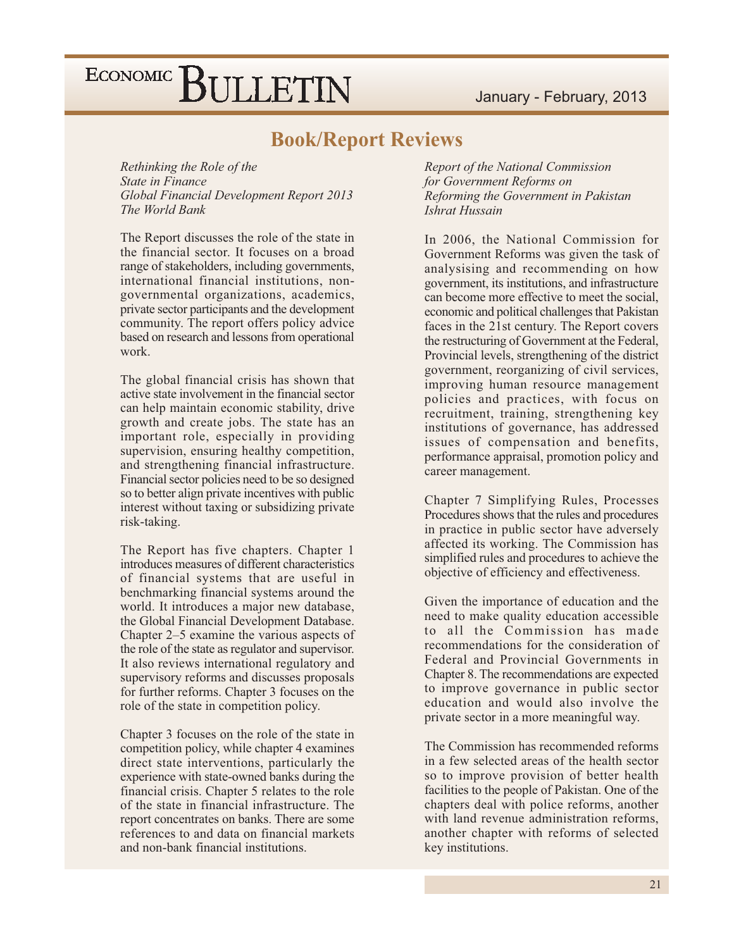#### **Book/Report Reviews**

Rethinking the Role of the **State in Finance** Global Financial Development Report 2013 The World Bank

The Report discusses the role of the state in the financial sector. It focuses on a broad range of stakeholders, including governments, international financial institutions, nongovernmental organizations, academics, private sector participants and the development community. The report offers policy advice based on research and lessons from operational work.

The global financial crisis has shown that active state involvement in the financial sector can help maintain economic stability, drive growth and create jobs. The state has an important role, especially in providing supervision, ensuring healthy competition, and strengthening financial infrastructure. Financial sector policies need to be so designed so to better align private incentives with public interest without taxing or subsidizing private risk-taking.

The Report has five chapters. Chapter 1 introduces measures of different characteristics of financial systems that are useful in benchmarking financial systems around the world. It introduces a major new database, the Global Financial Development Database. Chapter  $2-5$  examine the various aspects of the role of the state as regulator and supervisor. It also reviews international regulatory and supervisory reforms and discusses proposals for further reforms. Chapter 3 focuses on the role of the state in competition policy.

Chapter 3 focuses on the role of the state in competition policy, while chapter 4 examines direct state interventions, particularly the experience with state-owned banks during the financial crisis. Chapter 5 relates to the role of the state in financial infrastructure. The report concentrates on banks. There are some references to and data on financial markets and non-bank financial institutions.

Report of the National Commission for Government Reforms on Reforming the Government in Pakistan Ishrat Hussain

In 2006, the National Commission for Government Reforms was given the task of analysising and recommending on how government, its institutions, and infrastructure can become more effective to meet the social, economic and political challenges that Pakistan faces in the 21st century. The Report covers the restructuring of Government at the Federal, Provincial levels, strengthening of the district government, reorganizing of civil services, improving human resource management policies and practices, with focus on recruitment, training, strengthening key institutions of governance, has addressed issues of compensation and benefits, performance appraisal, promotion policy and career management.

Chapter 7 Simplifying Rules, Processes Procedures shows that the rules and procedures in practice in public sector have adversely affected its working. The Commission has simplified rules and procedures to achieve the objective of efficiency and effectiveness.

Given the importance of education and the need to make quality education accessible to all the Commission has made recommendations for the consideration of Federal and Provincial Governments in Chapter 8. The recommendations are expected to improve governance in public sector education and would also involve the private sector in a more meaningful way.

The Commission has recommended reforms in a few selected areas of the health sector so to improve provision of better health facilities to the people of Pakistan. One of the chapters deal with police reforms, another with land revenue administration reforms. another chapter with reforms of selected key institutions.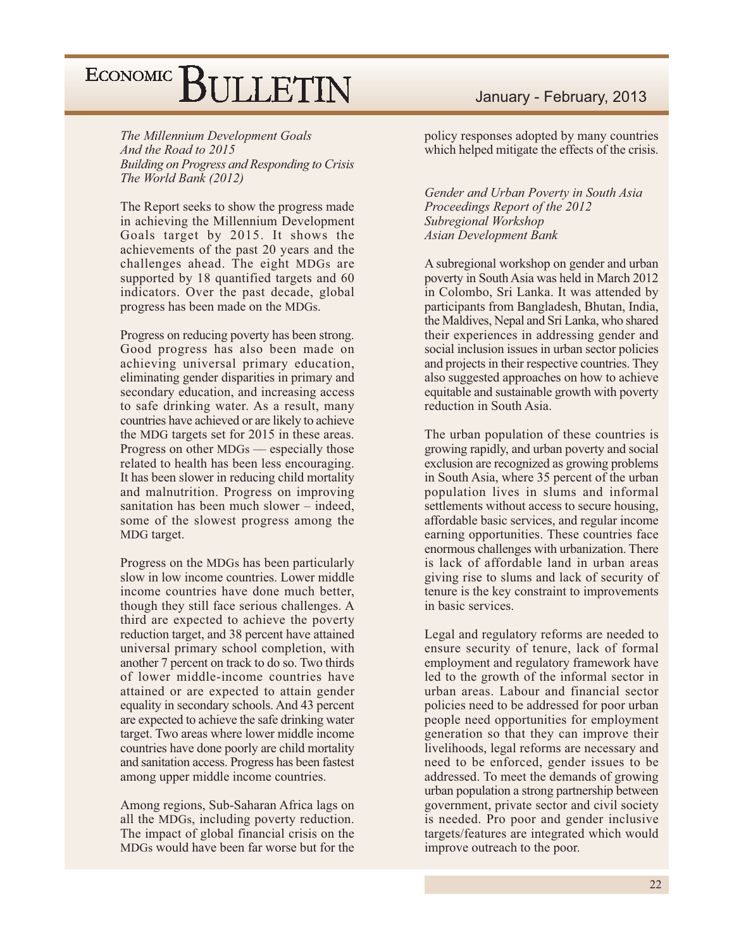The Millennium Development Goals And the Road to 2015 Building on Progress and Responding to Crisis The World Bank (2012)

The Report seeks to show the progress made in achieving the Millennium Development Goals target by 2015. It shows the achievements of the past 20 years and the challenges ahead. The eight MDGs are supported by 18 quantified targets and 60 indicators. Over the past decade, global progress has been made on the MDGs.

Progress on reducing poverty has been strong. Good progress has also been made on achieving universal primary education, eliminating gender disparities in primary and secondary education, and increasing access to safe drinking water. As a result, many countries have achieved or are likely to achieve the MDG targets set for 2015 in these areas. Progress on other MDGs — especially those related to health has been less encouraging. It has been slower in reducing child mortality and malnutrition. Progress on improving sanitation has been much slower – indeed. some of the slowest progress among the MDG target.

Progress on the MDGs has been particularly slow in low income countries. Lower middle income countries have done much better. though they still face serious challenges. A third are expected to achieve the poverty reduction target, and 38 percent have attained universal primary school completion, with another 7 percent on track to do so. Two thirds of lower middle-income countries have attained or are expected to attain gender equality in secondary schools. And 43 percent are expected to achieve the safe drinking water target. Two areas where lower middle income countries have done poorly are child mortality and sanitation access. Progress has been fastest among upper middle income countries.

Among regions, Sub-Saharan Africa lags on all the MDGs, including poverty reduction. The impact of global financial crisis on the MDGs would have been far worse but for the

#### January - February, 2013

policy responses adopted by many countries which helped mitigate the effects of the crisis.

Gender and Urban Poverty in South Asia Proceedings Report of the 2012 Subregional Workshop **Asian Development Bank** 

A subregional workshop on gender and urban poverty in South Asia was held in March 2012 in Colombo, Sri Lanka. It was attended by participants from Bangladesh, Bhutan, India, the Maldives, Nepal and Sri Lanka, who shared their experiences in addressing gender and social inclusion issues in urban sector policies and projects in their respective countries. They also suggested approaches on how to achieve equitable and sustainable growth with poverty reduction in South Asia.

The urban population of these countries is growing rapidly, and urban poverty and social exclusion are recognized as growing problems in South Asia, where 35 percent of the urban population lives in slums and informal settlements without access to secure housing, affordable basic services, and regular income earning opportunities. These countries face enormous challenges with urbanization. There is lack of affordable land in urban areas giving rise to slums and lack of security of tenure is the key constraint to improvements in basic services.

Legal and regulatory reforms are needed to ensure security of tenure, lack of formal employment and regulatory framework have led to the growth of the informal sector in urban areas. Labour and financial sector policies need to be addressed for poor urban people need opportunities for employment generation so that they can improve their livelihoods, legal reforms are necessary and need to be enforced, gender issues to be addressed. To meet the demands of growing urban population a strong partnership between government, private sector and civil society is needed. Pro poor and gender inclusive targets/features are integrated which would improve outreach to the poor.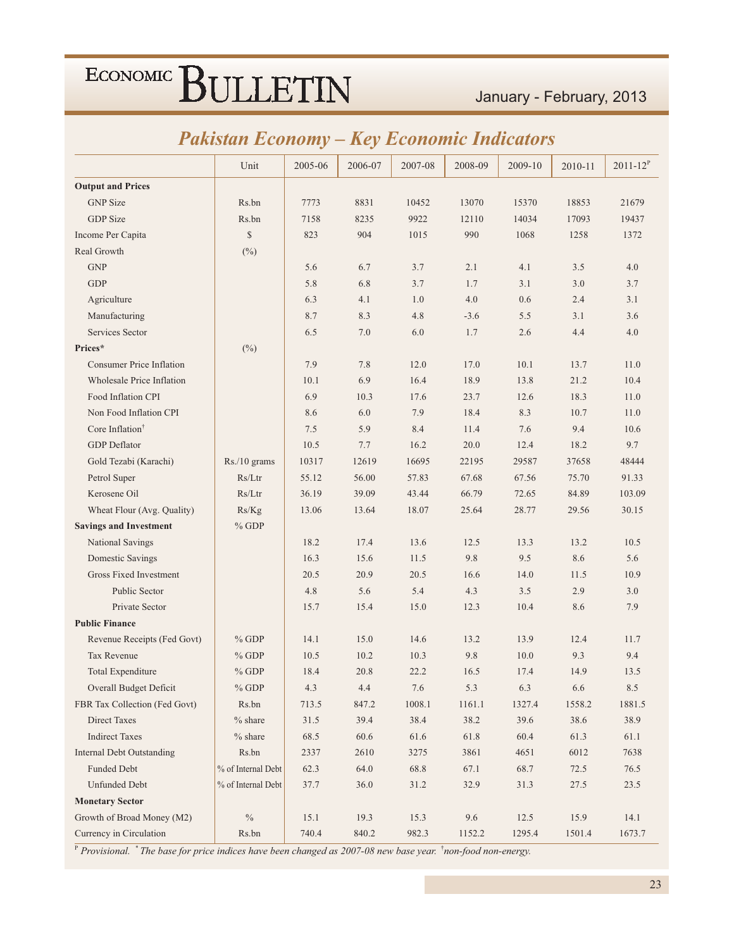### January - February, 2013

### **Pakistan Economy - Key Economic Indicators**

|                                  | Unit               | 2005-06 | 2006-07 | 2007-08 | 2008-09 | 2009-10 | 2010-11 | $2011 - 12^{P}$ |
|----------------------------------|--------------------|---------|---------|---------|---------|---------|---------|-----------------|
| <b>Output and Prices</b>         |                    |         |         |         |         |         |         |                 |
| <b>GNP</b> Size                  | Rs.bn              | 7773    | 8831    | 10452   | 13070   | 15370   | 18853   | 21679           |
| <b>GDP</b> Size                  | Rs.bn              | 7158    | 8235    | 9922    | 12110   | 14034   | 17093   | 19437           |
| Income Per Capita                | $\mathbb{S}$       | 823     | 904     | 1015    | 990     | 1068    | 1258    | 1372            |
| Real Growth                      | $(\%)$             |         |         |         |         |         |         |                 |
| <b>GNP</b>                       |                    | 5.6     | 6.7     | 3.7     | 2.1     | 4.1     | 3.5     | 4.0             |
| <b>GDP</b>                       |                    | 5.8     | 6.8     | 3.7     | 1.7     | 3.1     | 3.0     | 3.7             |
| Agriculture                      |                    | 6.3     | 4.1     | 1.0     | 4.0     | 0.6     | 2.4     | 3.1             |
| Manufacturing                    |                    | 8.7     | 8.3     | 4.8     | $-3.6$  | 5.5     | 3.1     | 3.6             |
| Services Sector                  |                    | 6.5     | 7.0     | 6.0     | 1.7     | 2.6     | 4.4     | 4.0             |
| Prices*                          | $(\%)$             |         |         |         |         |         |         |                 |
| <b>Consumer Price Inflation</b>  |                    | 7.9     | 7.8     | 12.0    | 17.0    | 10.1    | 13.7    | 11.0            |
| <b>Wholesale Price Inflation</b> |                    | 10.1    | 6.9     | 16.4    | 18.9    | 13.8    | 21.2    | 10.4            |
| Food Inflation CPI               |                    | 6.9     | 10.3    | 17.6    | 23.7    | 12.6    | 18.3    | 11.0            |
| Non Food Inflation CPI           |                    | 8.6     | 6.0     | 7.9     | 18.4    | 8.3     | 10.7    | 11.0            |
| Core Inflation <sup>†</sup>      |                    | 7.5     | 5.9     | 8.4     | 11.4    | 7.6     | 9.4     | 10.6            |
| <b>GDP</b> Deflator              |                    | 10.5    | 7.7     | 16.2    | 20.0    | 12.4    | 18.2    | 9.7             |
| Gold Tezabi (Karachi)            | Rs./10 grams       | 10317   | 12619   | 16695   | 22195   | 29587   | 37658   | 48444           |
| Petrol Super                     | Rs/Ltr             | 55.12   | 56.00   | 57.83   | 67.68   | 67.56   | 75.70   | 91.33           |
| Kerosene Oil                     | Rs/Ltr             | 36.19   | 39.09   | 43.44   | 66.79   | 72.65   | 84.89   | 103.09          |
| Wheat Flour (Avg. Quality)       | Rs/Kg              | 13.06   | 13.64   | 18.07   | 25.64   | 28.77   | 29.56   | 30.15           |
| <b>Savings and Investment</b>    | $%$ GDP            |         |         |         |         |         |         |                 |
| National Savings                 |                    | 18.2    | 17.4    | 13.6    | 12.5    | 13.3    | 13.2    | 10.5            |
| Domestic Savings                 |                    | 16.3    | 15.6    | 11.5    | 9.8     | 9.5     | 8.6     | 5.6             |
| <b>Gross Fixed Investment</b>    |                    | 20.5    | 20.9    | 20.5    | 16.6    | 14.0    | 11.5    | 10.9            |
| Public Sector                    |                    | 4.8     | 5.6     | 5.4     | 4.3     | 3.5     | 2.9     | 3.0             |
| Private Sector                   |                    | 15.7    | 15.4    | 15.0    | 12.3    | 10.4    | 8.6     | 7.9             |
| <b>Public Finance</b>            |                    |         |         |         |         |         |         |                 |
| Revenue Receipts (Fed Govt)      | $%$ GDP            | 14.1    | 15.0    | 14.6    | 13.2    | 13.9    | 12.4    | 11.7            |
| <b>Tax Revenue</b>               | $%$ GDP            | 10.5    | 10.2    | 10.3    | 9.8     | 10.0    | 9.3     | 9.4             |
| <b>Total Expenditure</b>         | $%$ GDP            | 18.4    | 20.8    | 22.2    | 16.5    | 17.4    | 14.9    | 13.5            |
| Overall Budget Deficit           | $%$ GDP            | 4.3     | 4.4     | 7.6     | 5.3     | 6.3     | 6.6     | 8.5             |
| FBR Tax Collection (Fed Govt)    | Rs.bn              | 713.5   | 847.2   | 1008.1  | 1161.1  | 1327.4  | 1558.2  | 1881.5          |
| <b>Direct Taxes</b>              | $%$ share          | 31.5    | 39.4    | 38.4    | 38.2    | 39.6    | 38.6    | 38.9            |
| <b>Indirect Taxes</b>            | $%$ share          | 68.5    | 60.6    | 61.6    | 61.8    | 60.4    | 61.3    | 61.1            |
| <b>Internal Debt Outstanding</b> | Rs.bn              | 2337    | 2610    | 3275    | 3861    | 4651    | 6012    | 7638            |
| Funded Debt                      | % of Internal Debt | 62.3    | 64.0    | 68.8    | 67.1    | 68.7    | 72.5    | 76.5            |
| <b>Unfunded Debt</b>             | % of Internal Debt | 37.7    | 36.0    | 31.2    | 32.9    | 31.3    | 27.5    | 23.5            |
| <b>Monetary Sector</b>           |                    |         |         |         |         |         |         |                 |
| Growth of Broad Money (M2)       | $\%$               | 15.1    | 19.3    | 15.3    | 9.6     | 12.5    | 15.9    | 14.1            |
| Currency in Circulation          | Rs.bn              | 740.4   | 840.2   | 982.3   | 1152.2  | 1295.4  | 1501.4  | 1673.7          |

 $\frac{P}{P}$ Provisional. \* The base for price indices have been changed as 2007-08 new base year. \*non-food non-energy.